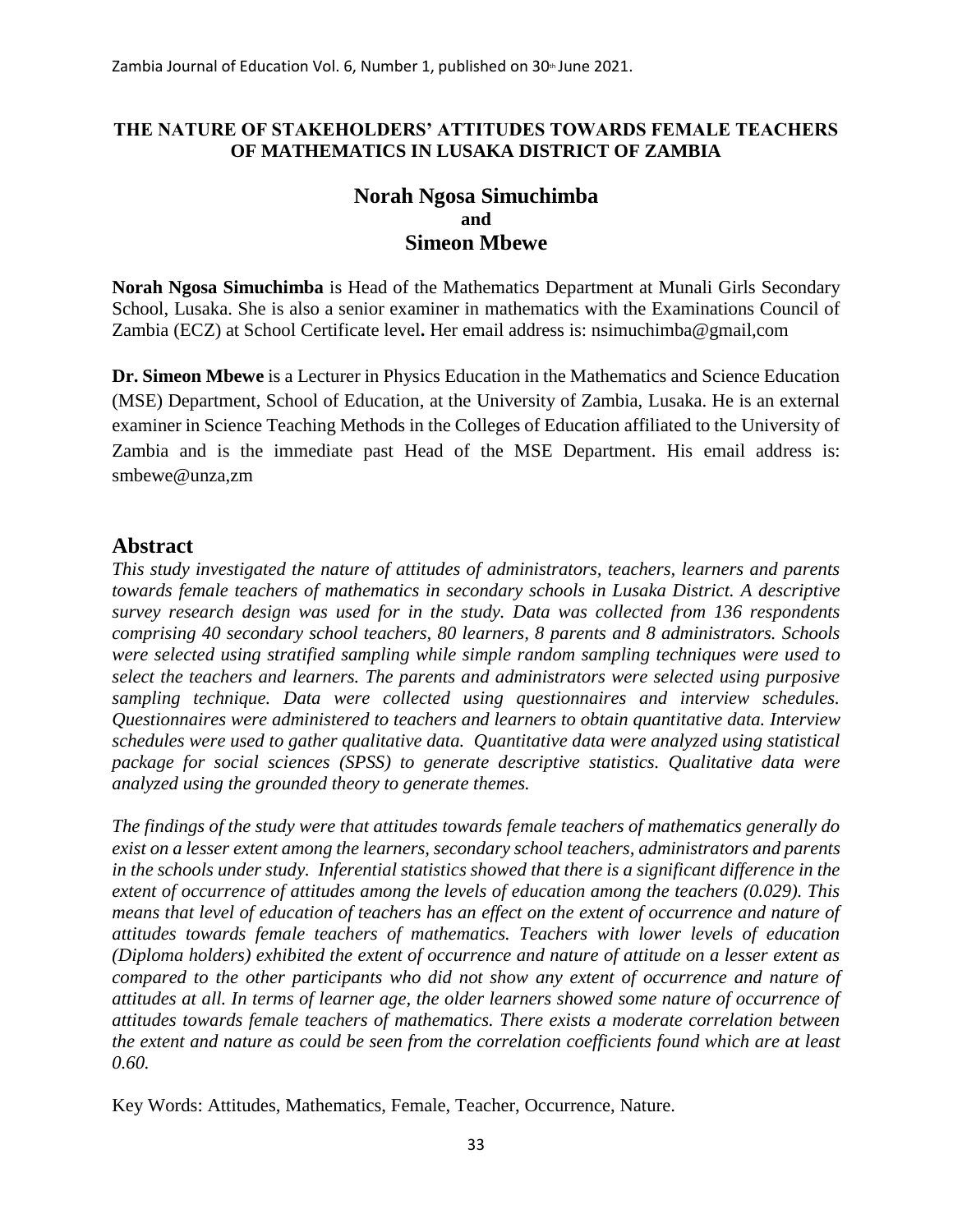### **THE NATURE OF STAKEHOLDERS' ATTITUDES TOWARDS FEMALE TEACHERS OF MATHEMATICS IN LUSAKA DISTRICT OF ZAMBIA**

## **Norah Ngosa Simuchimba and Simeon Mbewe**

**Norah Ngosa Simuchimba** is Head of the Mathematics Department at Munali Girls Secondary School, Lusaka. She is also a senior examiner in mathematics with the Examinations Council of Zambia (ECZ) at School Certificate level**.** Her email address is: nsimuchimba@gmail,com

**Dr. Simeon Mbewe** is a Lecturer in Physics Education in the Mathematics and Science Education (MSE) Department, School of Education, at the University of Zambia, Lusaka. He is an external examiner in Science Teaching Methods in the Colleges of Education affiliated to the University of Zambia and is the immediate past Head of the MSE Department. His email address is: smbewe@unza,zm

# **Abstract**

*This study investigated the nature of attitudes of administrators, teachers, learners and parents towards female teachers of mathematics in secondary schools in Lusaka District. A descriptive survey research design was used for in the study. Data was collected from 136 respondents comprising 40 secondary school teachers, 80 learners, 8 parents and 8 administrators. Schools were selected using stratified sampling while simple random sampling techniques were used to select the teachers and learners. The parents and administrators were selected using purposive sampling technique. Data were collected using questionnaires and interview schedules. Questionnaires were administered to teachers and learners to obtain quantitative data. Interview schedules were used to gather qualitative data. Quantitative data were analyzed using statistical package for social sciences (SPSS) to generate descriptive statistics. Qualitative data were analyzed using the grounded theory to generate themes.*

*The findings of the study were that attitudes towards female teachers of mathematics generally do exist on a lesser extent among the learners, secondary school teachers, administrators and parents in the schools under study. Inferential statistics showed that there is a significant difference in the extent of occurrence of attitudes among the levels of education among the teachers (0.029). This means that level of education of teachers has an effect on the extent of occurrence and nature of attitudes towards female teachers of mathematics. Teachers with lower levels of education (Diploma holders) exhibited the extent of occurrence and nature of attitude on a lesser extent as compared to the other participants who did not show any extent of occurrence and nature of attitudes at all. In terms of learner age, the older learners showed some nature of occurrence of attitudes towards female teachers of mathematics. There exists a moderate correlation between the extent and nature as could be seen from the correlation coefficients found which are at least 0.60.* 

Key Words: Attitudes, Mathematics, Female, Teacher, Occurrence, Nature.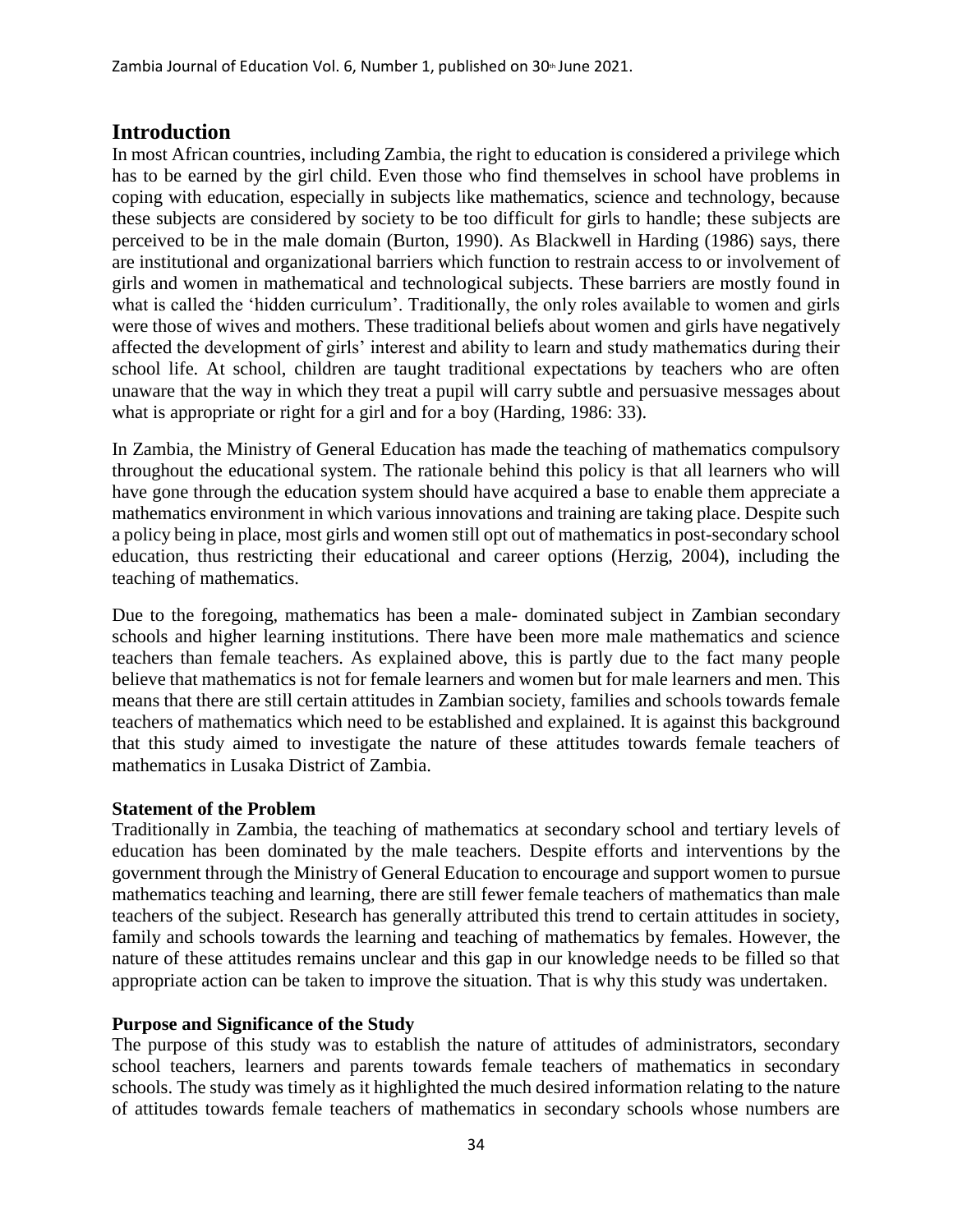## **Introduction**

In most African countries, including Zambia, the right to education is considered a privilege which has to be earned by the girl child. Even those who find themselves in school have problems in coping with education, especially in subjects like mathematics, science and technology, because these subjects are considered by society to be too difficult for girls to handle; these subjects are perceived to be in the male domain (Burton, 1990). As Blackwell in Harding (1986) says, there are institutional and organizational barriers which function to restrain access to or involvement of girls and women in mathematical and technological subjects. These barriers are mostly found in what is called the 'hidden curriculum'. Traditionally, the only roles available to women and girls were those of wives and mothers. These traditional beliefs about women and girls have negatively affected the development of girls' interest and ability to learn and study mathematics during their school life. At school, children are taught traditional expectations by teachers who are often unaware that the way in which they treat a pupil will carry subtle and persuasive messages about what is appropriate or right for a girl and for a boy (Harding, 1986: 33).

In Zambia, the Ministry of General Education has made the teaching of mathematics compulsory throughout the educational system. The rationale behind this policy is that all learners who will have gone through the education system should have acquired a base to enable them appreciate a mathematics environment in which various innovations and training are taking place. Despite such a policy being in place, most girls and women still opt out of mathematics in post-secondary school education, thus restricting their educational and career options (Herzig, 2004), including the teaching of mathematics.

Due to the foregoing, mathematics has been a male- dominated subject in Zambian secondary schools and higher learning institutions. There have been more male mathematics and science teachers than female teachers. As explained above, this is partly due to the fact many people believe that mathematics is not for female learners and women but for male learners and men. This means that there are still certain attitudes in Zambian society, families and schools towards female teachers of mathematics which need to be established and explained. It is against this background that this study aimed to investigate the nature of these attitudes towards female teachers of mathematics in Lusaka District of Zambia.

#### **Statement of the Problem**

Traditionally in Zambia, the teaching of mathematics at secondary school and tertiary levels of education has been dominated by the male teachers. Despite efforts and interventions by the government through the Ministry of General Education to encourage and support women to pursue mathematics teaching and learning, there are still fewer female teachers of mathematics than male teachers of the subject. Research has generally attributed this trend to certain attitudes in society, family and schools towards the learning and teaching of mathematics by females. However, the nature of these attitudes remains unclear and this gap in our knowledge needs to be filled so that appropriate action can be taken to improve the situation. That is why this study was undertaken.

#### **Purpose and Significance of the Study**

The purpose of this study was to establish the nature of attitudes of administrators, secondary school teachers, learners and parents towards female teachers of mathematics in secondary schools. The study was timely as it highlighted the much desired information relating to the nature of attitudes towards female teachers of mathematics in secondary schools whose numbers are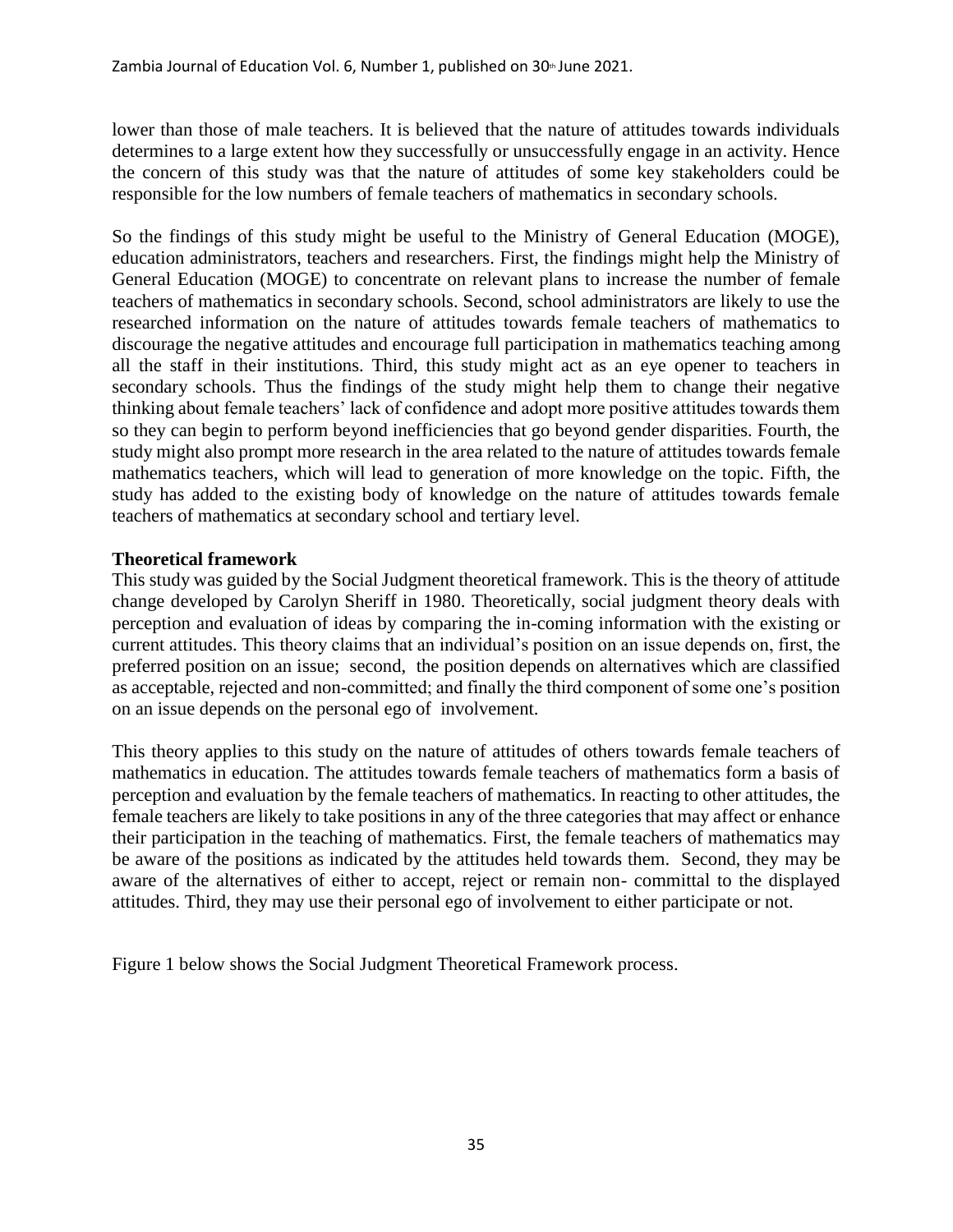lower than those of male teachers. It is believed that the nature of attitudes towards individuals determines to a large extent how they successfully or unsuccessfully engage in an activity. Hence the concern of this study was that the nature of attitudes of some key stakeholders could be responsible for the low numbers of female teachers of mathematics in secondary schools.

So the findings of this study might be useful to the Ministry of General Education (MOGE), education administrators, teachers and researchers. First, the findings might help the Ministry of General Education (MOGE) to concentrate on relevant plans to increase the number of female teachers of mathematics in secondary schools. Second, school administrators are likely to use the researched information on the nature of attitudes towards female teachers of mathematics to discourage the negative attitudes and encourage full participation in mathematics teaching among all the staff in their institutions. Third, this study might act as an eye opener to teachers in secondary schools. Thus the findings of the study might help them to change their negative thinking about female teachers' lack of confidence and adopt more positive attitudes towards them so they can begin to perform beyond inefficiencies that go beyond gender disparities. Fourth, the study might also prompt more research in the area related to the nature of attitudes towards female mathematics teachers, which will lead to generation of more knowledge on the topic. Fifth, the study has added to the existing body of knowledge on the nature of attitudes towards female teachers of mathematics at secondary school and tertiary level.

## **Theoretical framework**

This study was guided by the Social Judgment theoretical framework. This is the theory of attitude change developed by Carolyn Sheriff in 1980. Theoretically, social judgment theory deals with perception and evaluation of ideas by comparing the in-coming information with the existing or current attitudes. This theory claims that an individual's position on an issue depends on, first, the preferred position on an issue; second, the position depends on alternatives which are classified as acceptable, rejected and non-committed; and finally the third component of some one's position on an issue depends on the personal ego of involvement.

This theory applies to this study on the nature of attitudes of others towards female teachers of mathematics in education. The attitudes towards female teachers of mathematics form a basis of perception and evaluation by the female teachers of mathematics. In reacting to other attitudes, the female teachers are likely to take positions in any of the three categories that may affect or enhance their participation in the teaching of mathematics. First, the female teachers of mathematics may be aware of the positions as indicated by the attitudes held towards them. Second, they may be aware of the alternatives of either to accept, reject or remain non- committal to the displayed attitudes. Third, they may use their personal ego of involvement to either participate or not.

Figure 1 below shows the Social Judgment Theoretical Framework process.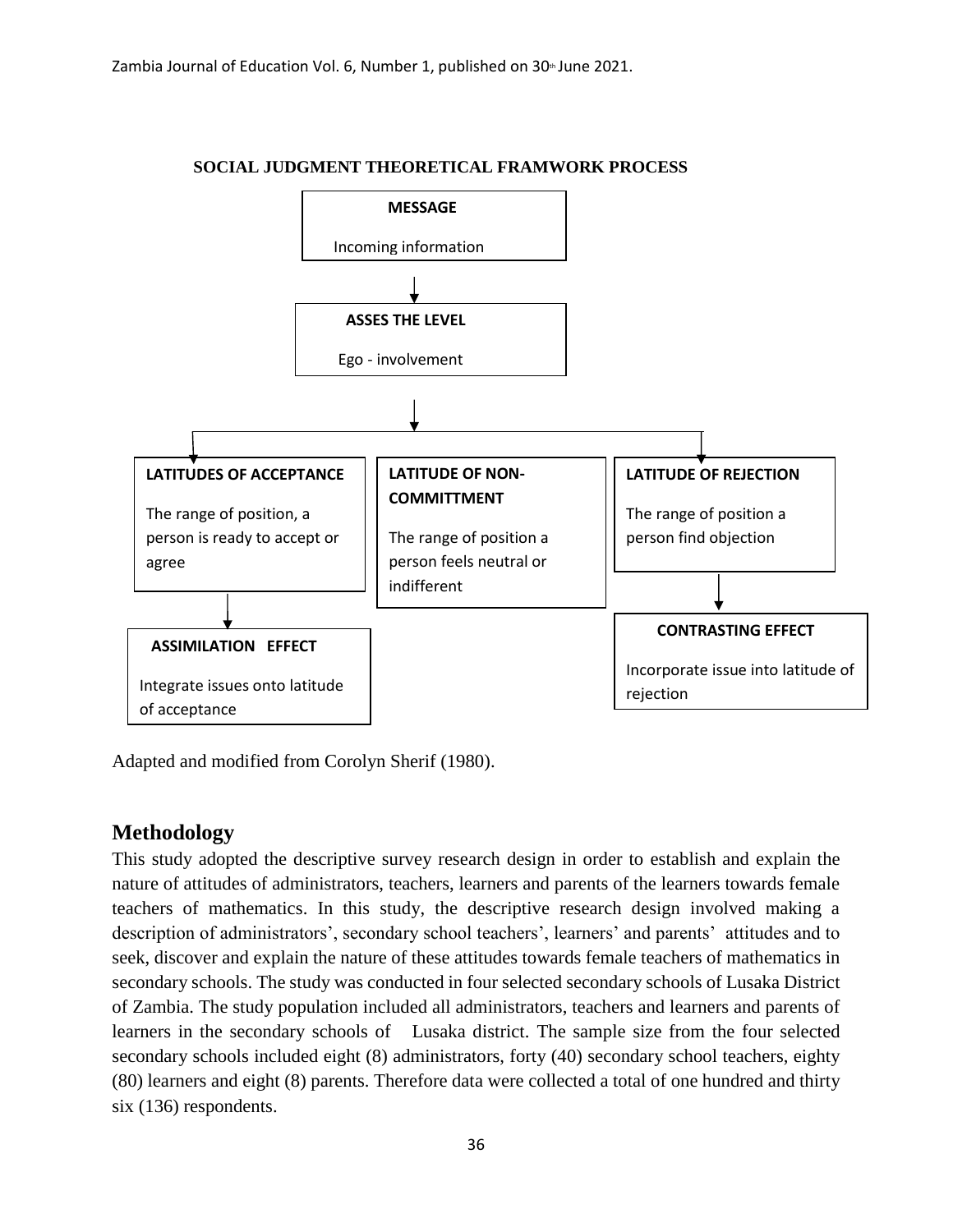

#### **SOCIAL JUDGMENT THEORETICAL FRAMWORK PROCESS**

Adapted and modified from Corolyn Sherif (1980).

# **Methodology**

This study adopted the descriptive survey research design in order to establish and explain the nature of attitudes of administrators, teachers, learners and parents of the learners towards female teachers of mathematics. In this study, the descriptive research design involved making a description of administrators', secondary school teachers', learners' and parents' attitudes and to seek, discover and explain the nature of these attitudes towards female teachers of mathematics in secondary schools. The study was conducted in four selected secondary schools of Lusaka District of Zambia. The study population included all administrators, teachers and learners and parents of learners in the secondary schools of Lusaka district. The sample size from the four selected secondary schools included eight (8) administrators, forty (40) secondary school teachers, eighty (80) learners and eight (8) parents. Therefore data were collected a total of one hundred and thirty six (136) respondents.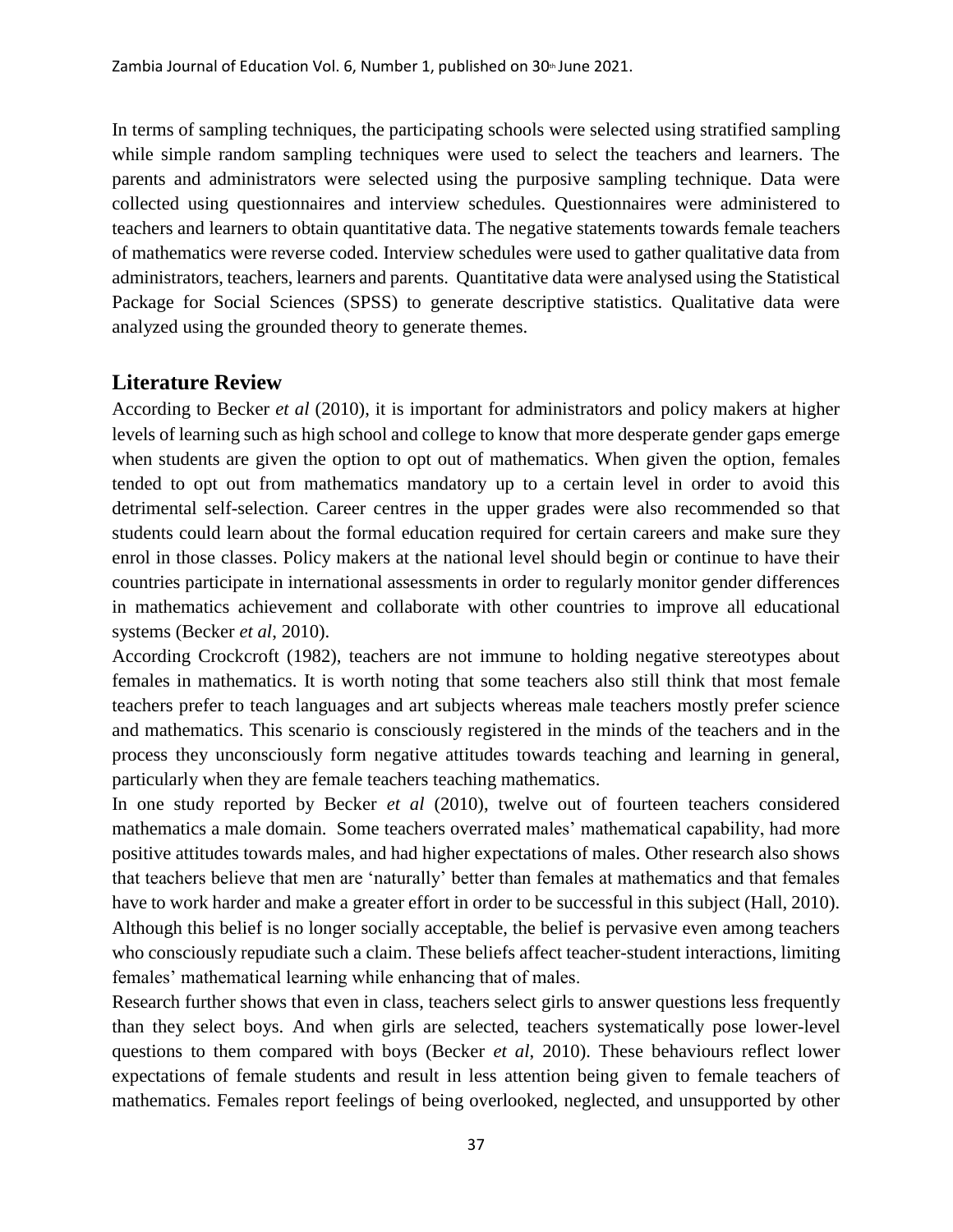In terms of sampling techniques, the participating schools were selected using stratified sampling while simple random sampling techniques were used to select the teachers and learners. The parents and administrators were selected using the purposive sampling technique. Data were collected using questionnaires and interview schedules. Questionnaires were administered to teachers and learners to obtain quantitative data. The negative statements towards female teachers of mathematics were reverse coded. Interview schedules were used to gather qualitative data from administrators, teachers, learners and parents. Quantitative data were analysed using the Statistical Package for Social Sciences (SPSS) to generate descriptive statistics. Qualitative data were analyzed using the grounded theory to generate themes.

## **Literature Review**

According to Becker *et al* (2010), it is important for administrators and policy makers at higher levels of learning such as high school and college to know that more desperate gender gaps emerge when students are given the option to opt out of mathematics. When given the option, females tended to opt out from mathematics mandatory up to a certain level in order to avoid this detrimental self-selection. Career centres in the upper grades were also recommended so that students could learn about the formal education required for certain careers and make sure they enrol in those classes. Policy makers at the national level should begin or continue to have their countries participate in international assessments in order to regularly monitor gender differences in mathematics achievement and collaborate with other countries to improve all educational systems (Becker *et al*, 2010).

According Crockcroft (1982), teachers are not immune to holding negative stereotypes about females in mathematics. It is worth noting that some teachers also still think that most female teachers prefer to teach languages and art subjects whereas male teachers mostly prefer science and mathematics. This scenario is consciously registered in the minds of the teachers and in the process they unconsciously form negative attitudes towards teaching and learning in general, particularly when they are female teachers teaching mathematics.

In one study reported by Becker *et al* (2010), twelve out of fourteen teachers considered mathematics a male domain. Some teachers overrated males' mathematical capability, had more positive attitudes towards males, and had higher expectations of males. Other research also shows that teachers believe that men are 'naturally' better than females at mathematics and that females have to work harder and make a greater effort in order to be successful in this subject (Hall, 2010). Although this belief is no longer socially acceptable, the belief is pervasive even among teachers who consciously repudiate such a claim. These beliefs affect teacher-student interactions, limiting females' mathematical learning while enhancing that of males.

Research further shows that even in class, teachers select girls to answer questions less frequently than they select boys. And when girls are selected, teachers systematically pose lower-level questions to them compared with boys (Becker *et al*, 2010). These behaviours reflect lower expectations of female students and result in less attention being given to female teachers of mathematics. Females report feelings of being overlooked, neglected, and unsupported by other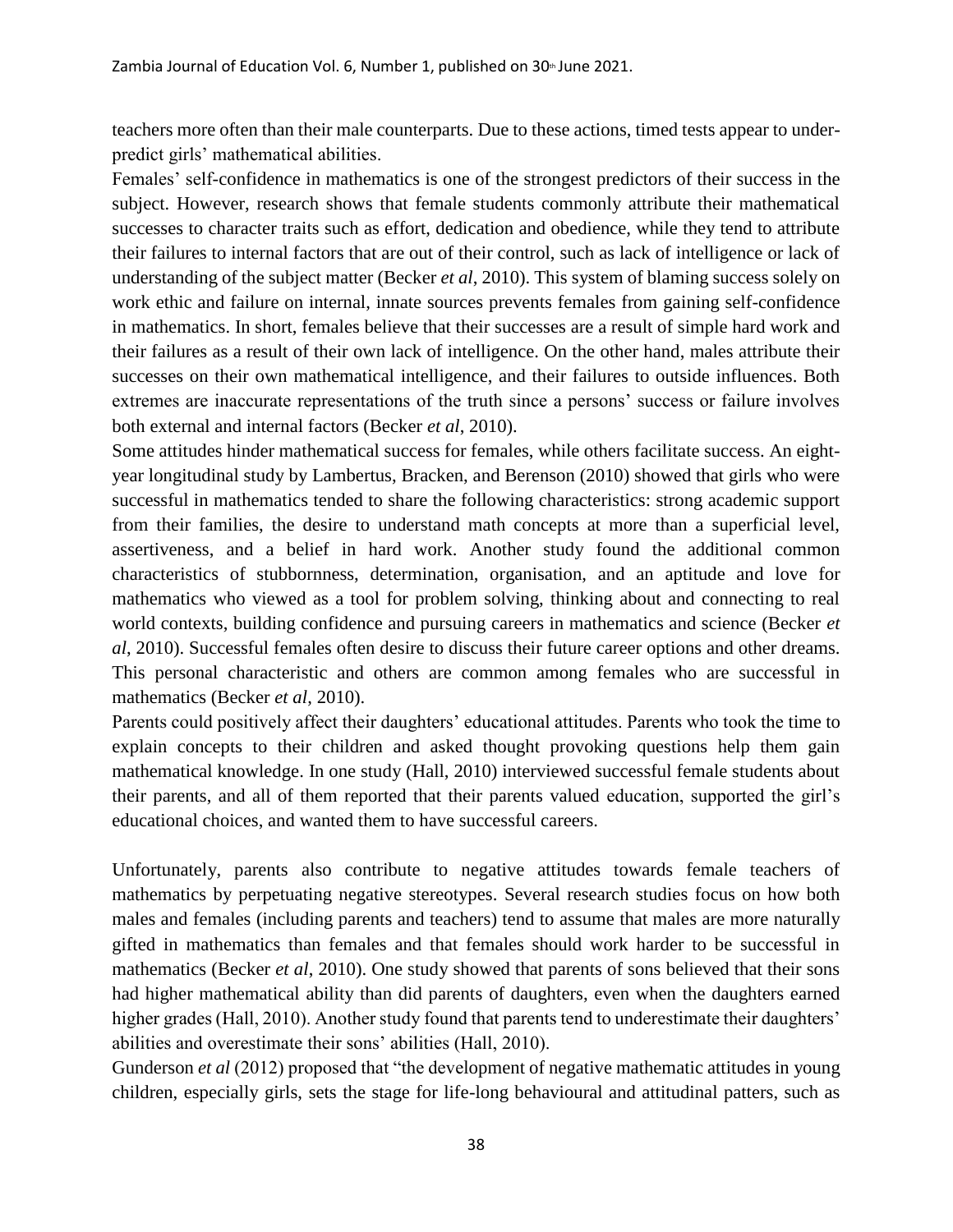teachers more often than their male counterparts. Due to these actions, timed tests appear to underpredict girls' mathematical abilities.

Females' self-confidence in mathematics is one of the strongest predictors of their success in the subject. However, research shows that female students commonly attribute their mathematical successes to character traits such as effort, dedication and obedience, while they tend to attribute their failures to internal factors that are out of their control, such as lack of intelligence or lack of understanding of the subject matter (Becker *et al*, 2010). This system of blaming success solely on work ethic and failure on internal, innate sources prevents females from gaining self-confidence in mathematics. In short, females believe that their successes are a result of simple hard work and their failures as a result of their own lack of intelligence. On the other hand, males attribute their successes on their own mathematical intelligence, and their failures to outside influences. Both extremes are inaccurate representations of the truth since a persons' success or failure involves both external and internal factors (Becker *et al*, 2010).

Some attitudes hinder mathematical success for females, while others facilitate success. An eightyear longitudinal study by Lambertus, Bracken, and Berenson (2010) showed that girls who were successful in mathematics tended to share the following characteristics: strong academic support from their families, the desire to understand math concepts at more than a superficial level, assertiveness, and a belief in hard work. Another study found the additional common characteristics of stubbornness, determination, organisation, and an aptitude and love for mathematics who viewed as a tool for problem solving, thinking about and connecting to real world contexts, building confidence and pursuing careers in mathematics and science (Becker *et al*, 2010). Successful females often desire to discuss their future career options and other dreams. This personal characteristic and others are common among females who are successful in mathematics (Becker *et al*, 2010).

Parents could positively affect their daughters' educational attitudes. Parents who took the time to explain concepts to their children and asked thought provoking questions help them gain mathematical knowledge. In one study (Hall, 2010) interviewed successful female students about their parents, and all of them reported that their parents valued education, supported the girl's educational choices, and wanted them to have successful careers.

Unfortunately, parents also contribute to negative attitudes towards female teachers of mathematics by perpetuating negative stereotypes. Several research studies focus on how both males and females (including parents and teachers) tend to assume that males are more naturally gifted in mathematics than females and that females should work harder to be successful in mathematics (Becker *et al*, 2010). One study showed that parents of sons believed that their sons had higher mathematical ability than did parents of daughters, even when the daughters earned higher grades (Hall, 2010). Another study found that parents tend to underestimate their daughters' abilities and overestimate their sons' abilities (Hall, 2010).

Gunderson *et al* (2012) proposed that "the development of negative mathematic attitudes in young children, especially girls, sets the stage for life-long behavioural and attitudinal patters, such as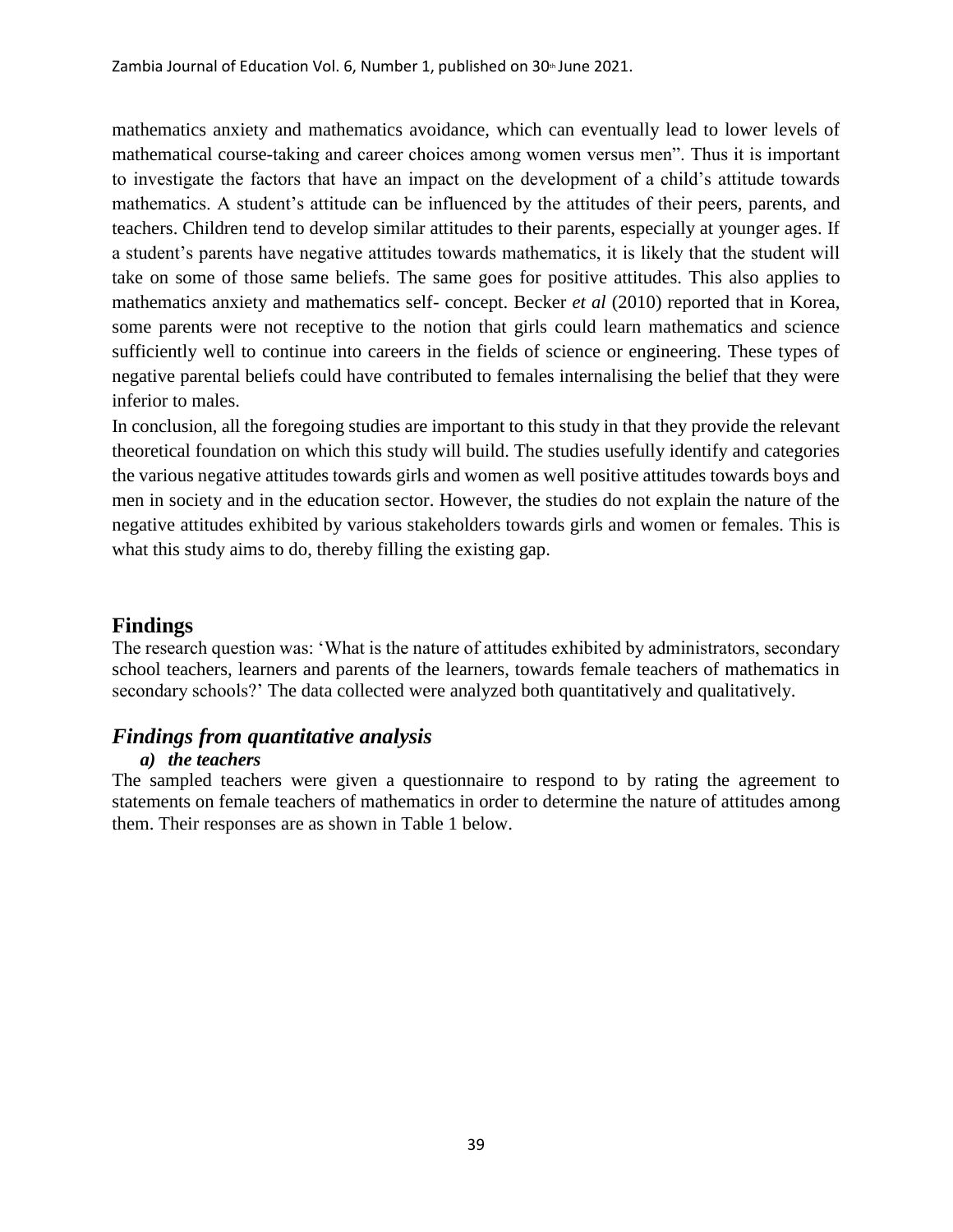mathematics anxiety and mathematics avoidance, which can eventually lead to lower levels of mathematical course-taking and career choices among women versus men". Thus it is important to investigate the factors that have an impact on the development of a child's attitude towards mathematics. A student's attitude can be influenced by the attitudes of their peers, parents, and teachers. Children tend to develop similar attitudes to their parents, especially at younger ages. If a student's parents have negative attitudes towards mathematics, it is likely that the student will take on some of those same beliefs. The same goes for positive attitudes. This also applies to mathematics anxiety and mathematics self- concept. Becker *et al* (2010) reported that in Korea, some parents were not receptive to the notion that girls could learn mathematics and science sufficiently well to continue into careers in the fields of science or engineering. These types of negative parental beliefs could have contributed to females internalising the belief that they were inferior to males.

In conclusion, all the foregoing studies are important to this study in that they provide the relevant theoretical foundation on which this study will build. The studies usefully identify and categories the various negative attitudes towards girls and women as well positive attitudes towards boys and men in society and in the education sector. However, the studies do not explain the nature of the negative attitudes exhibited by various stakeholders towards girls and women or females. This is what this study aims to do, thereby filling the existing gap.

# **Findings**

The research question was: 'What is the nature of attitudes exhibited by administrators, secondary school teachers, learners and parents of the learners, towards female teachers of mathematics in secondary schools?' The data collected were analyzed both quantitatively and qualitatively.

## *Findings from quantitative analysis*

#### *a) the teachers*

The sampled teachers were given a questionnaire to respond to by rating the agreement to statements on female teachers of mathematics in order to determine the nature of attitudes among them. Their responses are as shown in Table 1 below.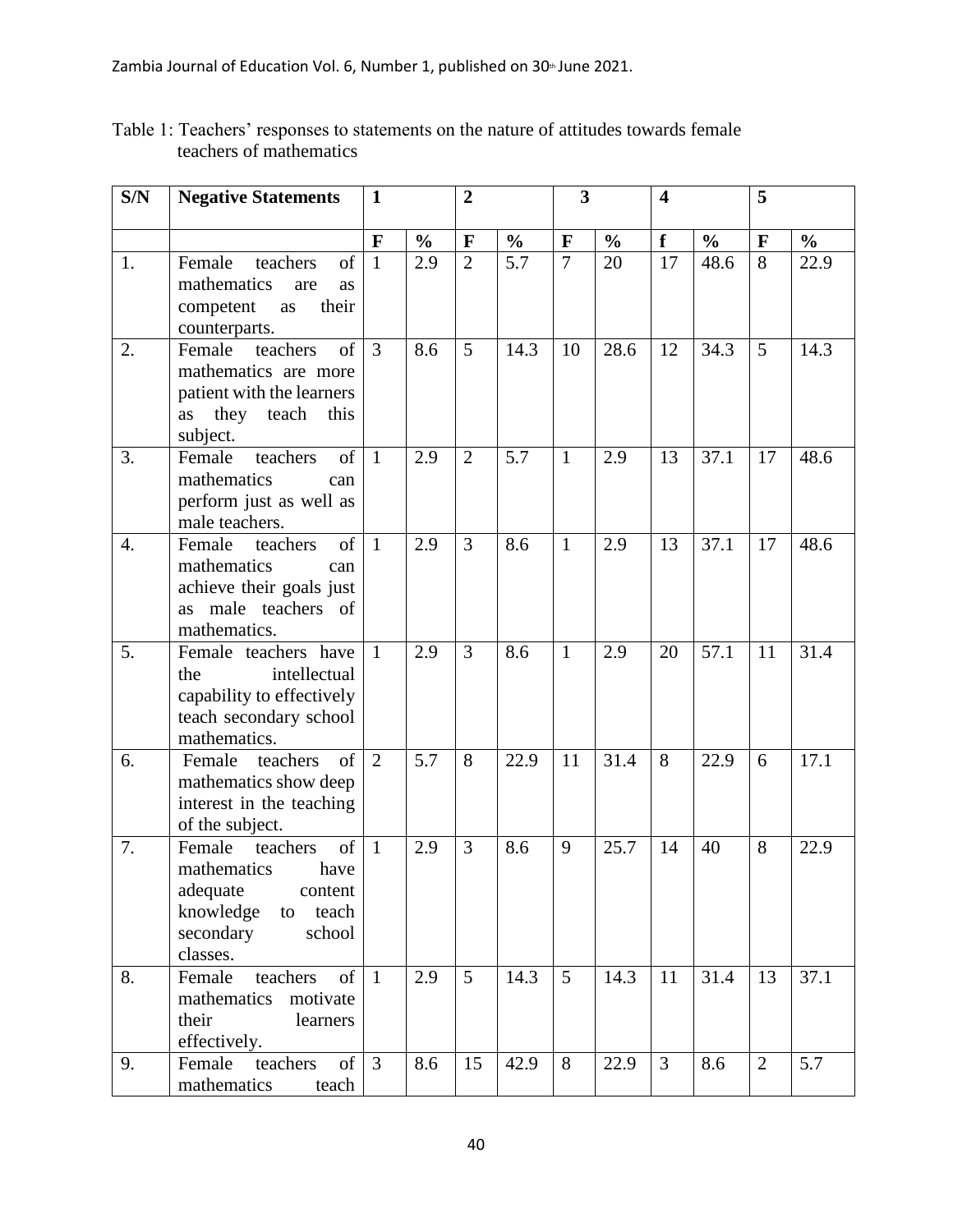| S/N              | <b>Negative Statements</b>                                                                                                            | $\mathbf 1$    |               | $\overline{2}$ |               |                 | 3             |                | $\overline{\mathbf{4}}$ |                |               |
|------------------|---------------------------------------------------------------------------------------------------------------------------------------|----------------|---------------|----------------|---------------|-----------------|---------------|----------------|-------------------------|----------------|---------------|
|                  |                                                                                                                                       | $\mathbf{F}$   | $\frac{0}{0}$ | $\mathbf{F}$   | $\frac{0}{0}$ | $\mathbf F$     | $\frac{0}{0}$ | f              | $\frac{6}{6}$           | $\mathbf{F}$   | $\frac{6}{6}$ |
| 1.               | Female<br>of<br>teachers<br>mathematics<br>are<br>as<br>competent<br>their<br>as<br>counterparts.                                     | $\mathbf{1}$   | 2.9           | $\overline{2}$ | 5.7           | $\overline{7}$  | 20            | 17             | 48.6                    | 8              | 22.9          |
| 2.               | of<br>Female<br>teachers<br>mathematics are more<br>patient with the learners<br>they teach<br>this<br>as<br>subject.                 | 3              | 8.6           | 5              | 14.3          | 10              | 28.6          | 12             | 34.3                    | 5              | 14.3          |
| 3.               | teachers<br>of<br>Female<br>mathematics<br>can<br>perform just as well as<br>male teachers.                                           | $\mathbf{1}$   | 2.9           | $\overline{2}$ | 5.7           | $\mathbf{1}$    | 2.9           | 13             | 37.1                    | 17             | 48.6          |
| $\overline{4}$ . | Female<br>of<br>teachers<br>mathematics<br>can<br>achieve their goals just<br>male teachers of<br><b>as</b><br>mathematics.           | $\mathbf{1}$   | 2.9           | 3              | 8.6           | $\mathbf{1}$    | 2.9           | 13             | 37.1                    | 17             | 48.6          |
| 5.               | Female teachers have<br>intellectual<br>the<br>capability to effectively<br>teach secondary school<br>mathematics.                    | $\mathbf{1}$   | 2.9           | 3              | 8.6           | $\mathbf{1}$    | 2.9           | 20             | 57.1                    | 11             | 31.4          |
| 6.               | of<br>Female<br>teachers<br>mathematics show deep<br>interest in the teaching<br>of the subject.                                      | 2              | 5.7           | 8              | 22.9          | 11              | 31.4          | 8              | 22.9                    | 6              | 17.1          |
| 7.               | Female<br>of<br>teachers<br>mathematics<br>have<br>adequate<br>content<br>knowledge<br>teach<br>to<br>secondary<br>school<br>classes. | $\mathbf{1}$   | 2.9           | 3              | 8.6           | 9               | 25.7          | 14             | 40                      | 8              | 22.9          |
| 8.               | of<br>Female<br>teachers<br>mathematics motivate<br>their<br>learners<br>effectively.                                                 | $\mathbf{1}$   | 2.9           | $\overline{5}$ | 14.3          | $5\overline{)}$ | 14.3          | 11             | 31.4                    | 13             | 37.1          |
| 9.               | teachers<br>of<br>Female<br>mathematics<br>teach                                                                                      | $\overline{3}$ | 8.6           | 15             | 42.9          | 8               | 22.9          | $\overline{3}$ | 8.6                     | $\overline{2}$ | 5.7           |

Table 1: Teachers' responses to statements on the nature of attitudes towards female teachers of mathematics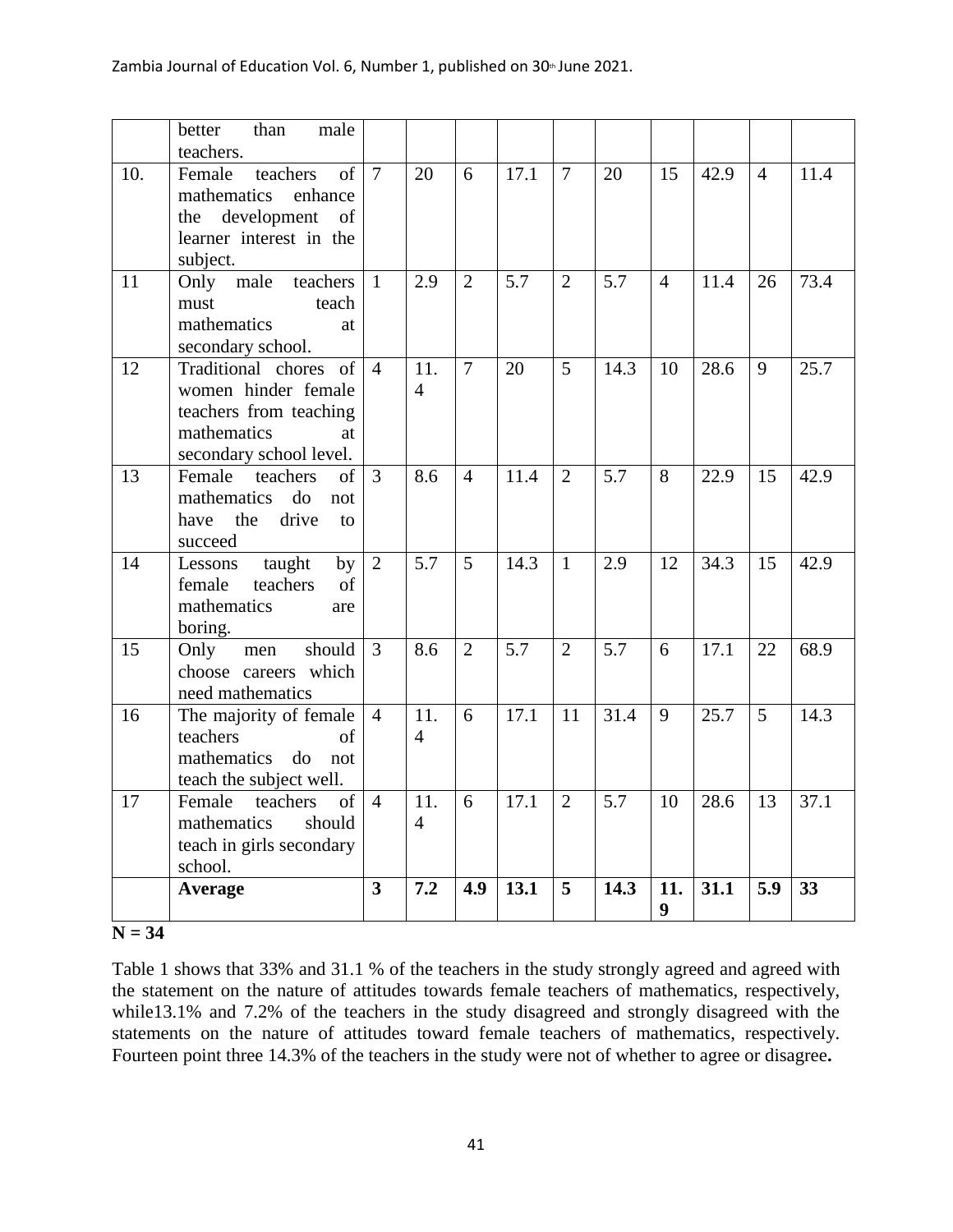|     | better<br>than<br>male<br>teachers.                                                                                        |                |                       |                |                   |                |      |                |      |                |      |
|-----|----------------------------------------------------------------------------------------------------------------------------|----------------|-----------------------|----------------|-------------------|----------------|------|----------------|------|----------------|------|
| 10. | of<br>Female<br>teachers<br>mathematics<br>enhance<br>the development<br>of<br>learner interest in the<br>subject.         | $\overline{7}$ | 20                    | 6              | 17.1              | $\overline{7}$ | 20   | 15             | 42.9 | $\overline{4}$ | 11.4 |
| 11  | Only male<br>teachers<br>must<br>teach<br>mathematics<br>at<br>secondary school.                                           | $\mathbf{1}$   | 2.9                   | $\overline{2}$ | 5.7               | 2              | 5.7  | $\overline{4}$ | 11.4 | 26             | 73.4 |
| 12  | Traditional chores<br>of<br>women hinder female<br>teachers from teaching<br>mathematics<br>at.<br>secondary school level. | $\overline{4}$ | 11.<br>$\overline{4}$ | $\overline{7}$ | 20                | 5              | 14.3 | 10             | 28.6 | 9              | 25.7 |
| 13  | Female<br>teachers<br>of<br>mathematics<br>do<br>not<br>the<br>drive<br>have<br>to<br>succeed                              | $\overline{3}$ | 8.6                   | $\overline{4}$ | 11.4              | $\overline{2}$ | 5.7  | 8              | 22.9 | 15             | 42.9 |
| 14  | taught<br>Lessons<br>by<br>teachers<br>female<br>of<br>mathematics<br>are<br>boring.                                       | 2              | 5.7                   | 5              | 14.3              | $\mathbf{1}$   | 2.9  | 12             | 34.3 | 15             | 42.9 |
| 15  | should<br>Only<br>men<br>choose careers which<br>need mathematics                                                          | 3              | 8.6                   | $\overline{2}$ | 5.7               | 2              | 5.7  | 6              | 17.1 | 22             | 68.9 |
| 16  | The majority of female<br>teachers<br>of<br>mathematics<br>do<br>not<br>teach the subject well.                            | $\overline{4}$ | 11.<br>$\overline{4}$ | 6              | 17.1              | 11             | 31.4 | 9              | 25.7 | $\overline{5}$ | 14.3 |
| 17  | of<br>Female<br>teachers<br>mathematics<br>should<br>teach in girls secondary<br>school.                                   | $\overline{4}$ | 11.<br>$\overline{4}$ | 6              | $\overline{17.1}$ | $\overline{2}$ | 5.7  | 10             | 28.6 | 13             | 37.1 |
|     | Average                                                                                                                    | 3              | 7.2                   | 4.9            | 13.1              | 5              | 14.3 | 11.<br>9       | 31.1 | 5.9            | 33   |

#### **N = 34**

Table 1 shows that 33% and 31.1 % of the teachers in the study strongly agreed and agreed with the statement on the nature of attitudes towards female teachers of mathematics, respectively, while13.1% and 7.2% of the teachers in the study disagreed and strongly disagreed with the statements on the nature of attitudes toward female teachers of mathematics, respectively. Fourteen point three 14.3% of the teachers in the study were not of whether to agree or disagree**.**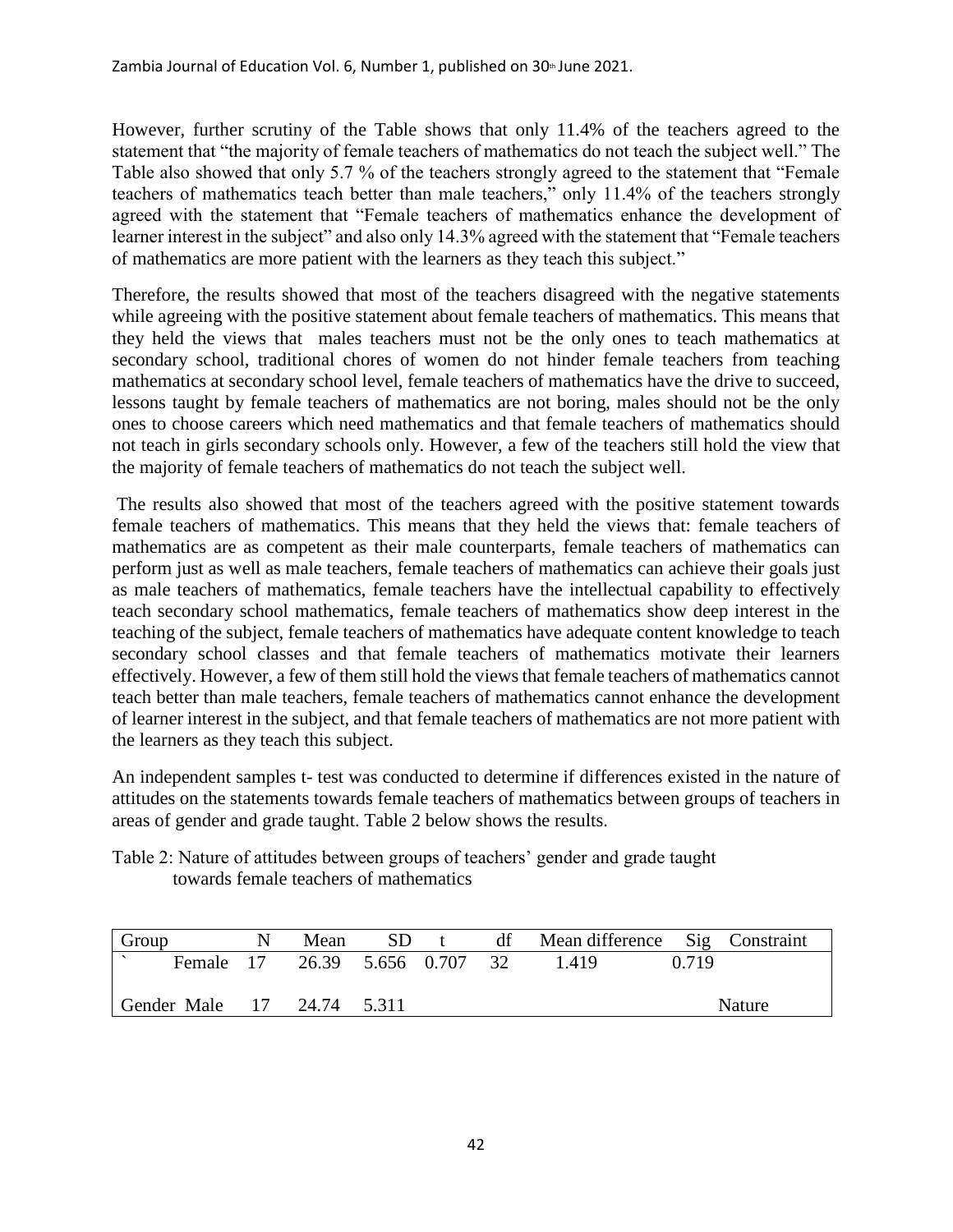However, further scrutiny of the Table shows that only 11.4% of the teachers agreed to the statement that "the majority of female teachers of mathematics do not teach the subject well." The Table also showed that only 5.7 % of the teachers strongly agreed to the statement that "Female teachers of mathematics teach better than male teachers," only 11.4% of the teachers strongly agreed with the statement that "Female teachers of mathematics enhance the development of learner interest in the subject" and also only 14.3% agreed with the statement that "Female teachers" of mathematics are more patient with the learners as they teach this subject."

Therefore, the results showed that most of the teachers disagreed with the negative statements while agreeing with the positive statement about female teachers of mathematics. This means that they held the views that males teachers must not be the only ones to teach mathematics at secondary school, traditional chores of women do not hinder female teachers from teaching mathematics at secondary school level, female teachers of mathematics have the drive to succeed, lessons taught by female teachers of mathematics are not boring, males should not be the only ones to choose careers which need mathematics and that female teachers of mathematics should not teach in girls secondary schools only. However, a few of the teachers still hold the view that the majority of female teachers of mathematics do not teach the subject well.

The results also showed that most of the teachers agreed with the positive statement towards female teachers of mathematics. This means that they held the views that: female teachers of mathematics are as competent as their male counterparts, female teachers of mathematics can perform just as well as male teachers, female teachers of mathematics can achieve their goals just as male teachers of mathematics, female teachers have the intellectual capability to effectively teach secondary school mathematics, female teachers of mathematics show deep interest in the teaching of the subject, female teachers of mathematics have adequate content knowledge to teach secondary school classes and that female teachers of mathematics motivate their learners effectively. However, a few of them still hold the views that female teachers of mathematics cannot teach better than male teachers, female teachers of mathematics cannot enhance the development of learner interest in the subject, and that female teachers of mathematics are not more patient with the learners as they teach this subject.

An independent samples t- test was conducted to determine if differences existed in the nature of attitudes on the statements towards female teachers of mathematics between groups of teachers in areas of gender and grade taught. Table 2 below shows the results.

| Group                      | Mean                 | <b>SD</b> | df | Mean difference Sig Constraint |       |               |
|----------------------------|----------------------|-----------|----|--------------------------------|-------|---------------|
| Female 17                  | 26.39 5.656 0.707 32 |           |    | 1.419                          | 0.719 |               |
| Gender Male 17 24.74 5.311 |                      |           |    |                                |       | <b>Nature</b> |

Table 2: Nature of attitudes between groups of teachers' gender and grade taught towards female teachers of mathematics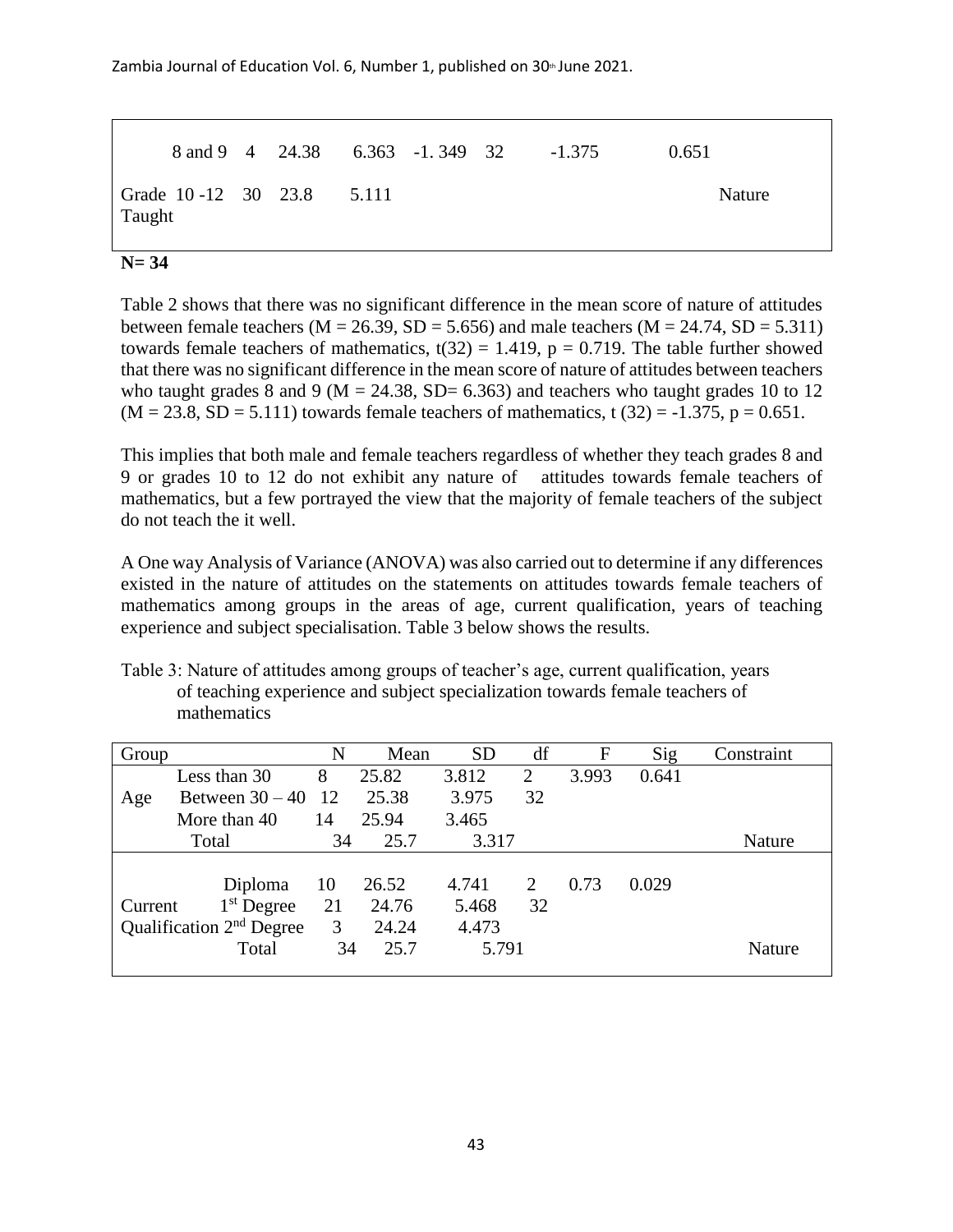Zambia Journal of Education Vol. 6, Number 1, published on  $30<sup>th</sup>$  June 2021.

 8 and 9 4 24.38 6.363 -1. 349 32 -1.375 0.651 Grade 10 -12 30 23.8 5.111 Nature Taught

#### **N= 34**

Table 2 shows that there was no significant difference in the mean score of nature of attitudes between female teachers ( $M = 26.39$ ,  $SD = 5.656$ ) and male teachers ( $M = 24.74$ ,  $SD = 5.311$ ) towards female teachers of mathematics,  $t(32) = 1.419$ ,  $p = 0.719$ . The table further showed that there was no significant difference in the mean score of nature of attitudes between teachers who taught grades 8 and 9 ( $M = 24.38$ , SD= 6.363) and teachers who taught grades 10 to 12  $(M = 23.8, SD = 5.111)$  towards female teachers of mathematics, t  $(32) = -1.375$ , p = 0.651.

This implies that both male and female teachers regardless of whether they teach grades 8 and 9 or grades 10 to 12 do not exhibit any nature of attitudes towards female teachers of mathematics, but a few portrayed the view that the majority of female teachers of the subject do not teach the it well.

A One way Analysis of Variance (ANOVA) was also carried out to determine if any differences existed in the nature of attitudes on the statements on attitudes towards female teachers of mathematics among groups in the areas of age, current qualification, years of teaching experience and subject specialisation. Table 3 below shows the results.

Table 3: Nature of attitudes among groups of teacher's age, current qualification, years of teaching experience and subject specialization towards female teachers of mathematics

| Group   |                            | N   | Mean  | <b>SD</b> | df | F     | Sig   | Constraint    |
|---------|----------------------------|-----|-------|-----------|----|-------|-------|---------------|
|         | Less than 30               | 8   | 25.82 | 3.812     | 2  | 3.993 | 0.641 |               |
| Age     | Between $30 - 40$ 12       |     | 25.38 | 3.975     | 32 |       |       |               |
|         | More than 40               | 14  | 25.94 | 3.465     |    |       |       |               |
| Total   |                            | 34  | 25.7  | 3.317     |    |       |       | Nature        |
|         |                            |     |       |           |    |       |       |               |
|         | Diploma                    | -10 | 26.52 | 4.741     | 2  | 0.73  | 0.029 |               |
| Current | $1st$ Degree               | 21  | 24.76 | 5.468     | 32 |       |       |               |
|         | Qualification $2nd$ Degree | 3   | 24.24 | 4.473     |    |       |       |               |
|         | Total                      | 34  | 25.7  | 5.791     |    |       |       | <b>Nature</b> |
|         |                            |     |       |           |    |       |       |               |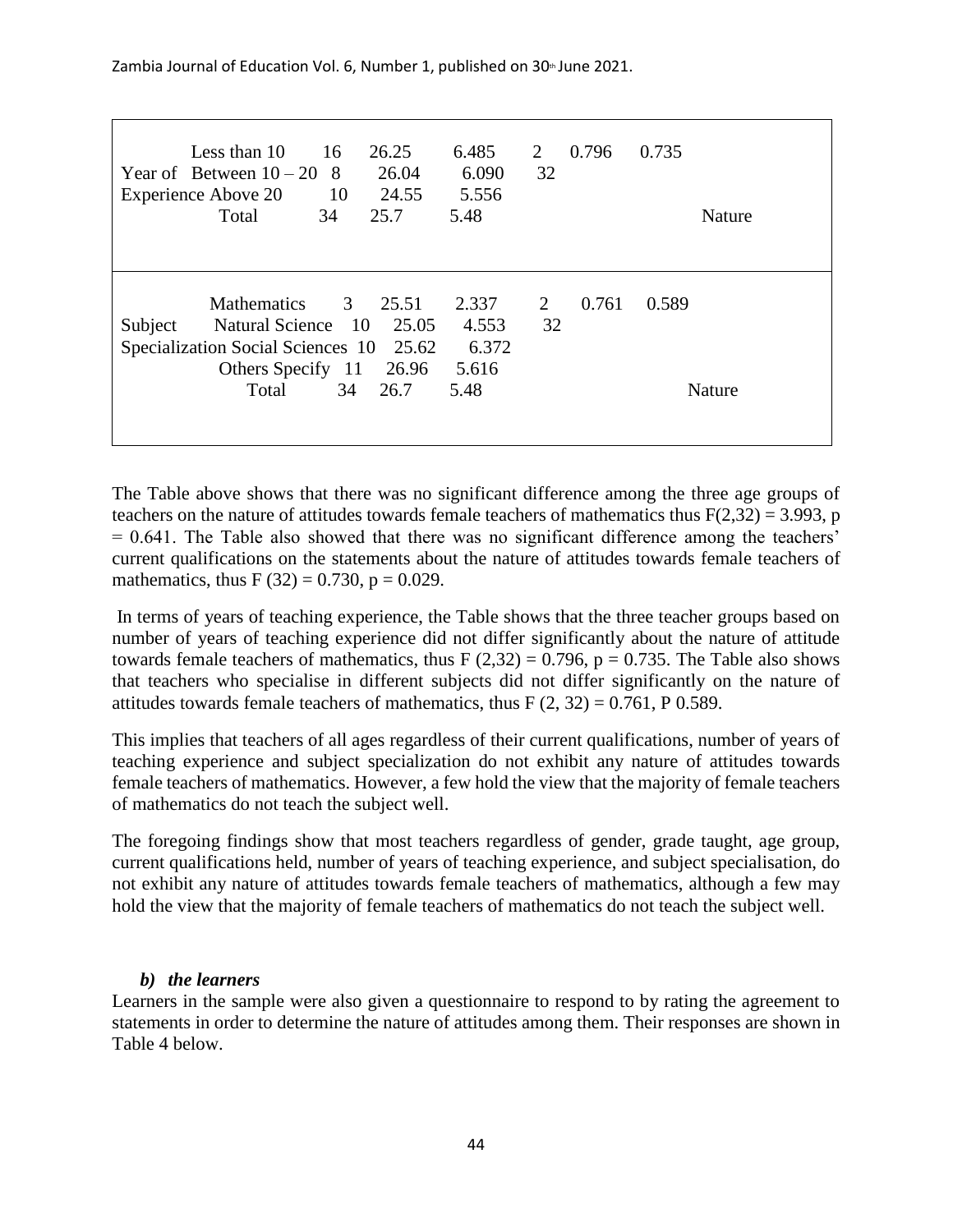Zambia Journal of Education Vol. 6, Number 1, published on  $30<sup>th</sup>$  June 2021.

| Less than 10<br>Year of Between $10-20$ 8<br><b>Experience Above 20</b><br>Total | 16<br>10<br>34                                                                 | 26.25<br>26.04<br>24.55<br>25.7 | 6.485<br>6.090<br>5.556<br>5.48          | 2<br>32 | 0.796 | 0.735<br>Nature        |  |
|----------------------------------------------------------------------------------|--------------------------------------------------------------------------------|---------------------------------|------------------------------------------|---------|-------|------------------------|--|
| <b>Mathematics</b><br>Subject<br>Specialization Social Sciences 10 25.62         | 3 <sup>7</sup><br>Natural Science 10<br>Others Specify 11 26.96<br>34<br>Total | 25.51<br>25.05<br>26.7          | 2.337<br>4.553<br>6.372<br>5.616<br>5.48 | 2<br>32 | 0.761 | 0.589<br><b>Nature</b> |  |

The Table above shows that there was no significant difference among the three age groups of teachers on the nature of attitudes towards female teachers of mathematics thus  $F(2,32) = 3.993$ , p = 0.641. The Table also showed that there was no significant difference among the teachers' current qualifications on the statements about the nature of attitudes towards female teachers of mathematics, thus F (32) = 0.730,  $p = 0.029$ .

In terms of years of teaching experience, the Table shows that the three teacher groups based on number of years of teaching experience did not differ significantly about the nature of attitude towards female teachers of mathematics, thus F  $(2,32) = 0.796$ , p = 0.735. The Table also shows that teachers who specialise in different subjects did not differ significantly on the nature of attitudes towards female teachers of mathematics, thus  $F(2, 32) = 0.761$ , P 0.589.

This implies that teachers of all ages regardless of their current qualifications, number of years of teaching experience and subject specialization do not exhibit any nature of attitudes towards female teachers of mathematics. However, a few hold the view that the majority of female teachers of mathematics do not teach the subject well.

The foregoing findings show that most teachers regardless of gender, grade taught, age group, current qualifications held, number of years of teaching experience, and subject specialisation, do not exhibit any nature of attitudes towards female teachers of mathematics, although a few may hold the view that the majority of female teachers of mathematics do not teach the subject well.

## *b) the learners*

Learners in the sample were also given a questionnaire to respond to by rating the agreement to statements in order to determine the nature of attitudes among them. Their responses are shown in Table 4 below.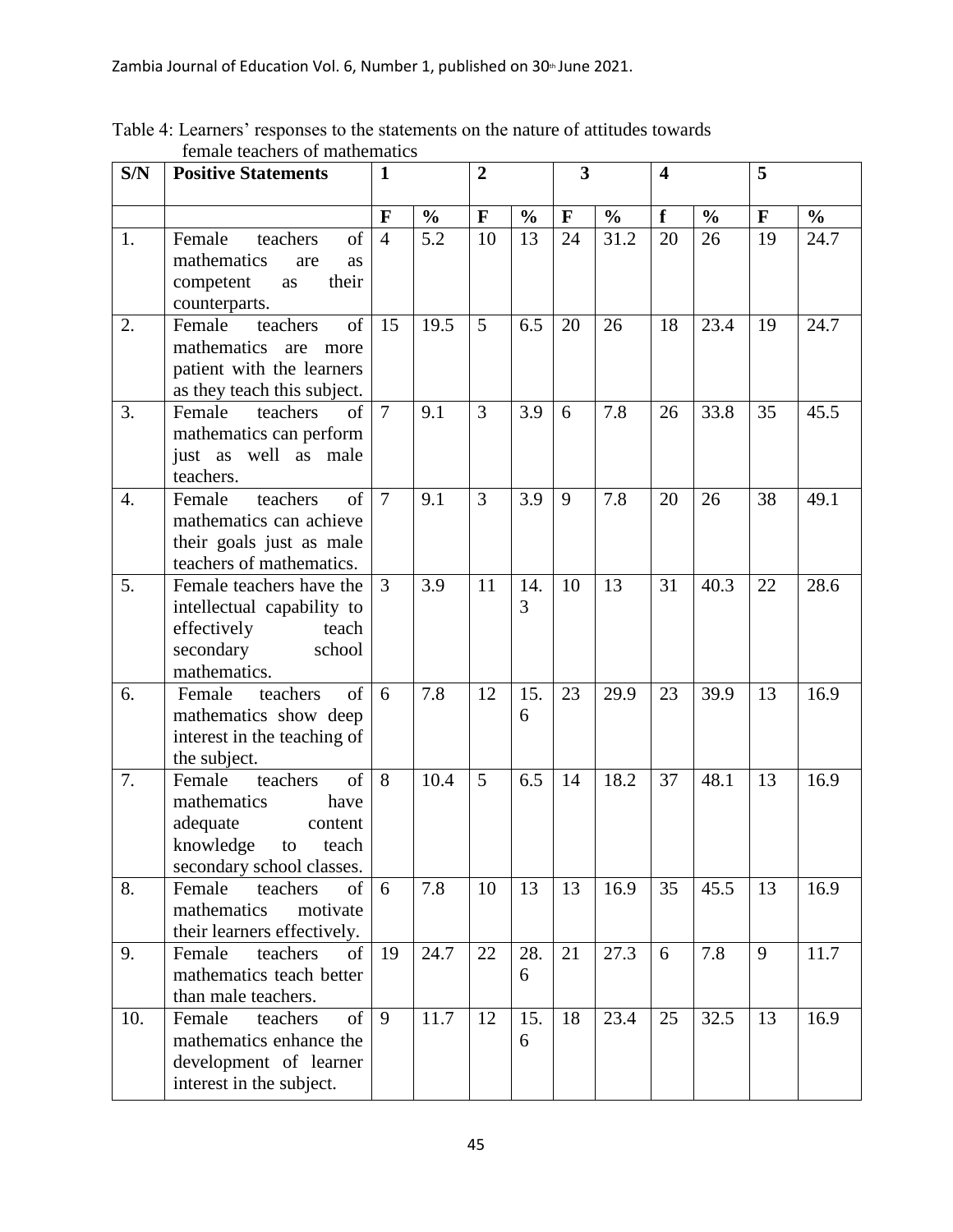| S/N              | <b>Positive Statements</b>                                                                                                      | $\mathbf{1}$   |               | $\overline{2}$ |               | $\overline{\mathbf{3}}$ |               | $\overline{\mathbf{4}}$ |               | 5            |               |
|------------------|---------------------------------------------------------------------------------------------------------------------------------|----------------|---------------|----------------|---------------|-------------------------|---------------|-------------------------|---------------|--------------|---------------|
|                  |                                                                                                                                 | $\mathbf{F}$   | $\frac{0}{0}$ | $\mathbf{F}$   | $\frac{0}{0}$ | $\mathbf{F}$            | $\frac{0}{0}$ | f                       | $\frac{0}{0}$ | $\mathbf{F}$ | $\frac{6}{6}$ |
| 1.               | Female<br>of<br>teachers<br>mathematics<br>are<br>as<br>their<br>competent<br>as<br>counterparts.                               | $\overline{4}$ | 5.2           | 10             | 13            | 24                      | 31.2          | 20                      | 26            | 19           | 24.7          |
| 2.               | of<br>teachers<br>Female<br>mathematics<br>are<br>more<br>patient with the learners<br>as they teach this subject.              | 15             | 19.5          | 5              | 6.5           | 20                      | 26            | 18                      | 23.4          | 19           | 24.7          |
| 3.               | of<br>Female<br>teachers<br>mathematics can perform<br>just as well as male<br>teachers.                                        | $\overline{7}$ | 9.1           | 3              | 3.9           | 6                       | 7.8           | 26                      | 33.8          | 35           | 45.5          |
| $\overline{4}$ . | of<br>teachers<br>Female<br>mathematics can achieve<br>their goals just as male<br>teachers of mathematics.                     | $\overline{7}$ | 9.1           | 3              | 3.9           | 9                       | 7.8           | 20                      | 26            | 38           | 49.1          |
| 5.               | Female teachers have the<br>intellectual capability to<br>effectively<br>teach<br>secondary<br>school<br>mathematics.           | 3              | 3.9           | 11             | 14.<br>3      | 10                      | 13            | 31                      | 40.3          | 22           | 28.6          |
| 6.               | of<br>Female<br>teachers<br>mathematics show deep<br>interest in the teaching of<br>the subject.                                | 6              | 7.8           | 12             | 15.<br>6      | 23                      | 29.9          | 23                      | 39.9          | 13           | 16.9          |
| 7.               | of<br>Female<br>teachers<br>mathematics<br>have<br>adequate<br>content<br>knowledge<br>teach<br>to<br>secondary school classes. | 8              | 10.4          | 5              | 6.5           | 14                      | 18.2          | 37                      | 48.1          | 13           | 16.9          |
| 8.               | Female<br>teachers<br>of<br>mathematics<br>motivate<br>their learners effectively.                                              | 6              | 7.8           | 10             | 13            | 13                      | 16.9          | 35                      | 45.5          | 13           | 16.9          |
| 9.               | of<br>Female<br>teachers<br>mathematics teach better<br>than male teachers.                                                     | 19             | 24.7          | 22             | 28.<br>6      | 21                      | 27.3          | 6                       | 7.8           | 9            | 11.7          |
| 10.              | $\sigma$<br>Female<br>teachers<br>mathematics enhance the<br>development of learner<br>interest in the subject.                 | 9              | 11.7          | 12             | 15.<br>6      | 18                      | 23.4          | 25                      | 32.5          | 13           | 16.9          |

Table 4: Learners' responses to the statements on the nature of attitudes towards female teachers of mathematics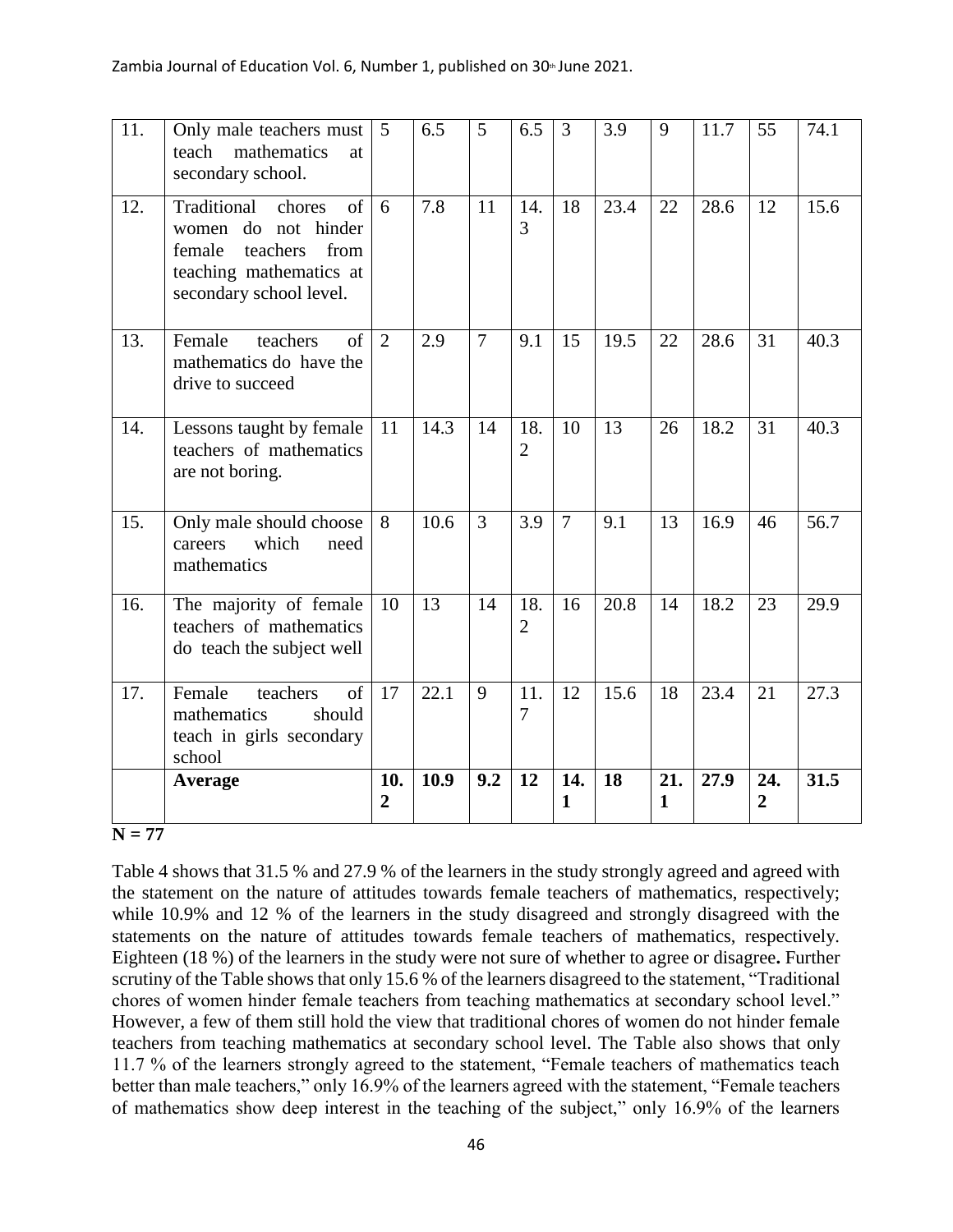| 11. | Only male teachers must<br>mathematics<br>teach<br>at<br>secondary school.                                                             | $\overline{5}$        | 6.5  | 5              | 6.5                   | 3              | 3.9  | 9        | 11.7 | 55                    | 74.1 |
|-----|----------------------------------------------------------------------------------------------------------------------------------------|-----------------------|------|----------------|-----------------------|----------------|------|----------|------|-----------------------|------|
| 12. | Traditional<br>chores<br>of<br>women do not hinder<br>female<br>teachers<br>from<br>teaching mathematics at<br>secondary school level. | 6                     | 7.8  | 11             | 14.<br>3              | 18             | 23.4 | 22       | 28.6 | 12                    | 15.6 |
| 13. | $\sigma$<br>Female<br>teachers<br>mathematics do have the<br>drive to succeed                                                          | 2                     | 2.9  | $\overline{7}$ | 9.1                   | 15             | 19.5 | 22       | 28.6 | 31                    | 40.3 |
| 14. | Lessons taught by female<br>teachers of mathematics<br>are not boring.                                                                 | 11                    | 14.3 | 14             | 18.<br>$\overline{2}$ | 10             | 13   | 26       | 18.2 | 31                    | 40.3 |
| 15. | Only male should choose<br>which<br>careers<br>need<br>mathematics                                                                     | 8                     | 10.6 | 3              | 3.9                   | $\overline{7}$ | 9.1  | 13       | 16.9 | 46                    | 56.7 |
| 16. | The majority of female<br>teachers of mathematics<br>do teach the subject well                                                         | 10                    | 13   | 14             | 18.<br>$\overline{2}$ | 16             | 20.8 | 14       | 18.2 | 23                    | 29.9 |
| 17. | Female<br>of<br>teachers<br>mathematics<br>should<br>teach in girls secondary<br>school                                                | 17                    | 22.1 | 9              | 11.<br>$\overline{7}$ | 12             | 15.6 | 18       | 23.4 | 21                    | 27.3 |
|     | Average                                                                                                                                | 10.<br>$\overline{2}$ | 10.9 | 9.2            | 12                    | 14.<br>1       | 18   | 21.<br>1 | 27.9 | 24.<br>$\overline{2}$ | 31.5 |

#### **N = 77**

Table 4 shows that 31.5 % and 27.9 % of the learners in the study strongly agreed and agreed with the statement on the nature of attitudes towards female teachers of mathematics, respectively; while 10.9% and 12 % of the learners in the study disagreed and strongly disagreed with the statements on the nature of attitudes towards female teachers of mathematics, respectively. Eighteen (18 %) of the learners in the study were not sure of whether to agree or disagree**.** Further scrutiny of the Table shows that only 15.6 % of the learners disagreed to the statement, "Traditional chores of women hinder female teachers from teaching mathematics at secondary school level." However, a few of them still hold the view that traditional chores of women do not hinder female teachers from teaching mathematics at secondary school level. The Table also shows that only 11.7 % of the learners strongly agreed to the statement, "Female teachers of mathematics teach better than male teachers," only 16.9% of the learners agreed with the statement, "Female teachers of mathematics show deep interest in the teaching of the subject," only 16.9% of the learners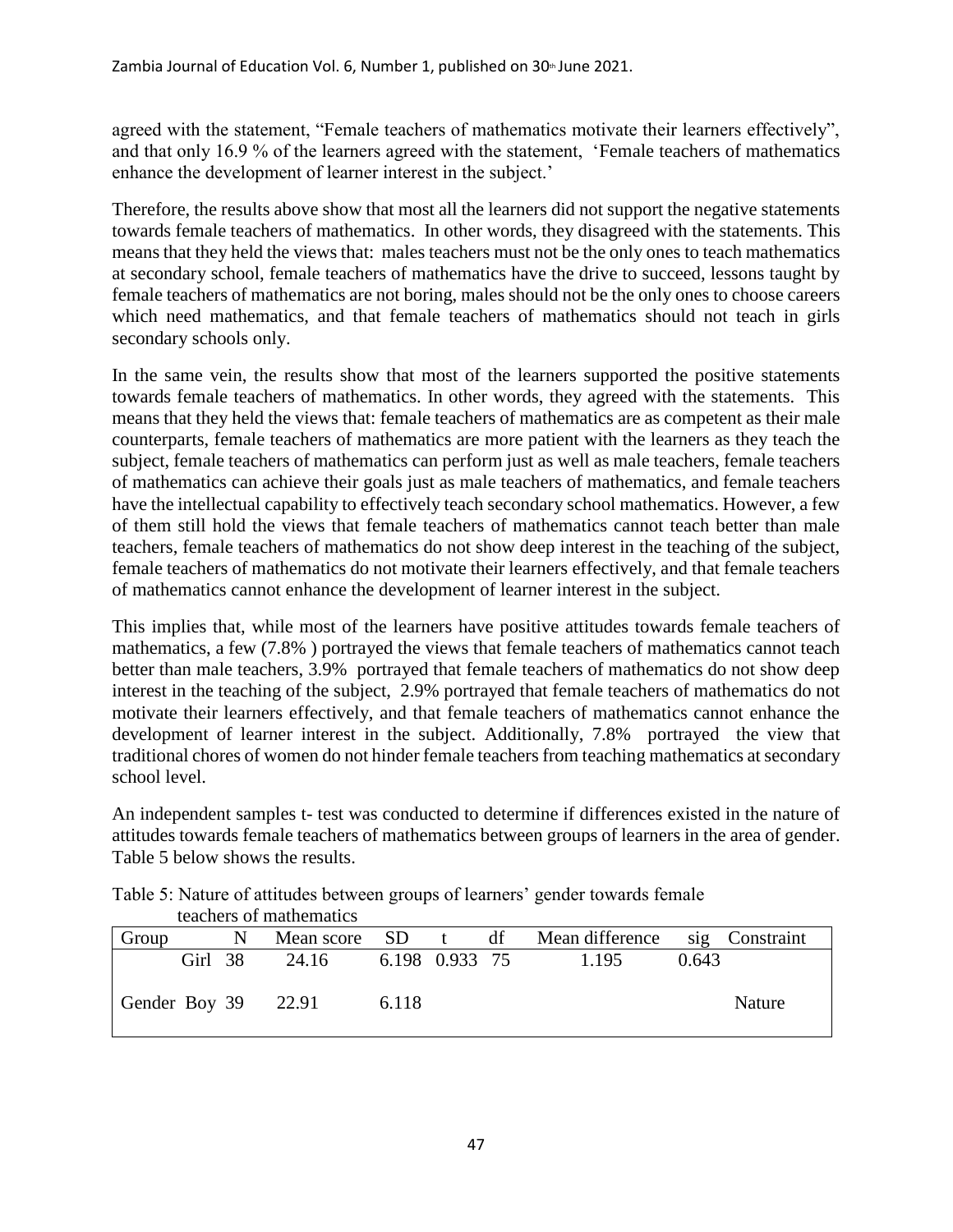agreed with the statement, "Female teachers of mathematics motivate their learners effectively", and that only 16.9 % of the learners agreed with the statement, 'Female teachers of mathematics enhance the development of learner interest in the subject.'

Therefore, the results above show that most all the learners did not support the negative statements towards female teachers of mathematics. In other words, they disagreed with the statements. This means that they held the views that: males teachers must not be the only ones to teach mathematics at secondary school, female teachers of mathematics have the drive to succeed, lessons taught by female teachers of mathematics are not boring, males should not be the only ones to choose careers which need mathematics, and that female teachers of mathematics should not teach in girls secondary schools only.

In the same vein, the results show that most of the learners supported the positive statements towards female teachers of mathematics. In other words, they agreed with the statements. This means that they held the views that: female teachers of mathematics are as competent as their male counterparts, female teachers of mathematics are more patient with the learners as they teach the subject, female teachers of mathematics can perform just as well as male teachers, female teachers of mathematics can achieve their goals just as male teachers of mathematics, and female teachers have the intellectual capability to effectively teach secondary school mathematics. However, a few of them still hold the views that female teachers of mathematics cannot teach better than male teachers, female teachers of mathematics do not show deep interest in the teaching of the subject, female teachers of mathematics do not motivate their learners effectively, and that female teachers of mathematics cannot enhance the development of learner interest in the subject.

This implies that, while most of the learners have positive attitudes towards female teachers of mathematics, a few (7.8% ) portrayed the views that female teachers of mathematics cannot teach better than male teachers, 3.9% portrayed that female teachers of mathematics do not show deep interest in the teaching of the subject, 2.9% portrayed that female teachers of mathematics do not motivate their learners effectively, and that female teachers of mathematics cannot enhance the development of learner interest in the subject. Additionally, 7.8% portrayed the view that traditional chores of women do not hinder female teachers from teaching mathematics at secondary school level.

An independent samples t- test was conducted to determine if differences existed in the nature of attitudes towards female teachers of mathematics between groups of learners in the area of gender. Table 5 below shows the results.

|                       |         |   | reachers of mathematics |                |    |                                |       |               |
|-----------------------|---------|---|-------------------------|----------------|----|--------------------------------|-------|---------------|
| Group                 |         | N | Mean score SD t         |                | df | Mean difference sig Constraint |       |               |
|                       | Girl 38 |   | 24.16                   | 6.198 0.933 75 |    | 1.195                          | 0.643 |               |
| Gender Boy $39$ 22.91 |         |   |                         | 6.118          |    |                                |       | <b>Nature</b> |

Table 5: Nature of attitudes between groups of learners' gender towards female teachers of mathematics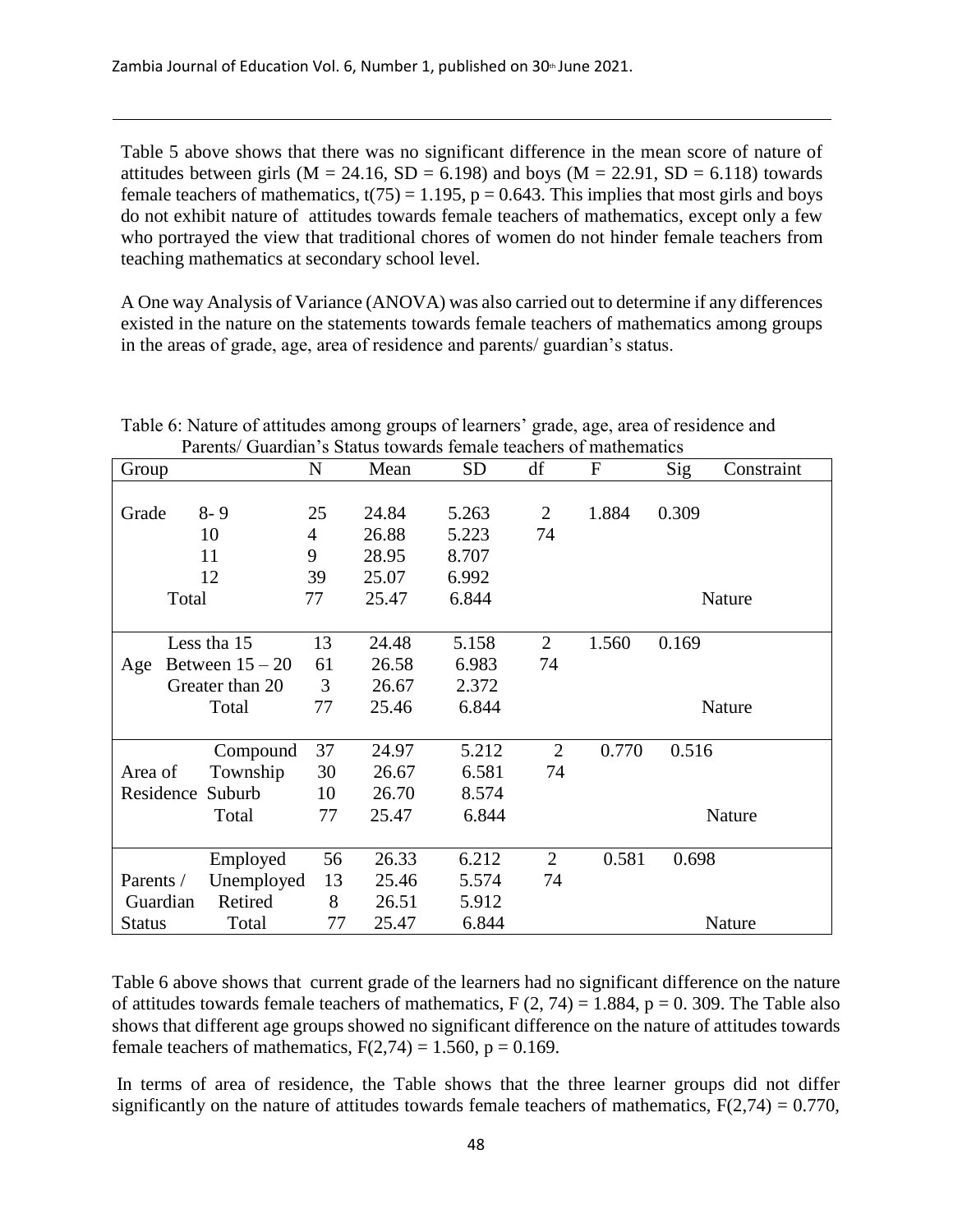Table 5 above shows that there was no significant difference in the mean score of nature of attitudes between girls ( $M = 24.16$ ,  $SD = 6.198$ ) and boys ( $M = 22.91$ ,  $SD = 6.118$ ) towards female teachers of mathematics,  $t(75) = 1.195$ ,  $p = 0.643$ . This implies that most girls and boys do not exhibit nature of attitudes towards female teachers of mathematics, except only a few who portrayed the view that traditional chores of women do not hinder female teachers from teaching mathematics at secondary school level.

A One way Analysis of Variance (ANOVA) was also carried out to determine if any differences existed in the nature on the statements towards female teachers of mathematics among groups in the areas of grade, age, area of residence and parents/ guardian's status.

| Group         | T archis/ Quarulan S Status towards female teachers of mathematics | N              | Mean  | <b>SD</b> | df             | F     | Sig   | Constraint |
|---------------|--------------------------------------------------------------------|----------------|-------|-----------|----------------|-------|-------|------------|
|               |                                                                    |                |       |           |                |       |       |            |
| Grade         | $8 - 9$                                                            | 25             | 24.84 | 5.263     | $\overline{2}$ | 1.884 | 0.309 |            |
|               | 10                                                                 | $\overline{4}$ | 26.88 | 5.223     | 74             |       |       |            |
|               | 11                                                                 | 9              | 28.95 | 8.707     |                |       |       |            |
|               | 12                                                                 | 39             | 25.07 | 6.992     |                |       |       |            |
|               | Total                                                              | 77             | 25.47 | 6.844     |                |       |       | Nature     |
|               |                                                                    |                |       |           |                |       |       |            |
|               | Less tha 15                                                        | 13             | 24.48 | 5.158     | $\overline{2}$ | 1.560 | 0.169 |            |
| Age           | Between $15 - 20$                                                  | 61             | 26.58 | 6.983     | 74             |       |       |            |
|               | Greater than 20                                                    | 3              | 26.67 | 2.372     |                |       |       |            |
|               | Total                                                              | 77             | 25.46 | 6.844     |                |       |       | Nature     |
|               |                                                                    |                |       |           |                |       |       |            |
|               | Compound                                                           | 37             | 24.97 | 5.212     | $\overline{2}$ | 0.770 | 0.516 |            |
| Area of       | Township                                                           | 30             | 26.67 | 6.581     | 74             |       |       |            |
| Residence     | Suburb                                                             | 10             | 26.70 | 8.574     |                |       |       |            |
|               | Total                                                              | 77             | 25.47 | 6.844     |                |       |       | Nature     |
|               |                                                                    |                |       |           |                |       |       |            |
|               | Employed                                                           | 56             | 26.33 | 6.212     | $\overline{2}$ | 0.581 | 0.698 |            |
| Parents /     | Unemployed                                                         | 13             | 25.46 | 5.574     | 74             |       |       |            |
| Guardian      | Retired                                                            | 8              | 26.51 | 5.912     |                |       |       |            |
| <b>Status</b> | Total                                                              | 77             | 25.47 | 6.844     |                |       |       | Nature     |

Table 6: Nature of attitudes among groups of learners' grade, age, area of residence and Parents/ Guardian's Status towards female teachers of mathematics

Table 6 above shows that current grade of the learners had no significant difference on the nature of attitudes towards female teachers of mathematics,  $F(2, 74) = 1.884$ ,  $p = 0.309$ . The Table also shows that different age groups showed no significant difference on the nature of attitudes towards female teachers of mathematics,  $F(2,74) = 1.560$ ,  $p = 0.169$ .

In terms of area of residence, the Table shows that the three learner groups did not differ significantly on the nature of attitudes towards female teachers of mathematics,  $F(2,74) = 0.770$ ,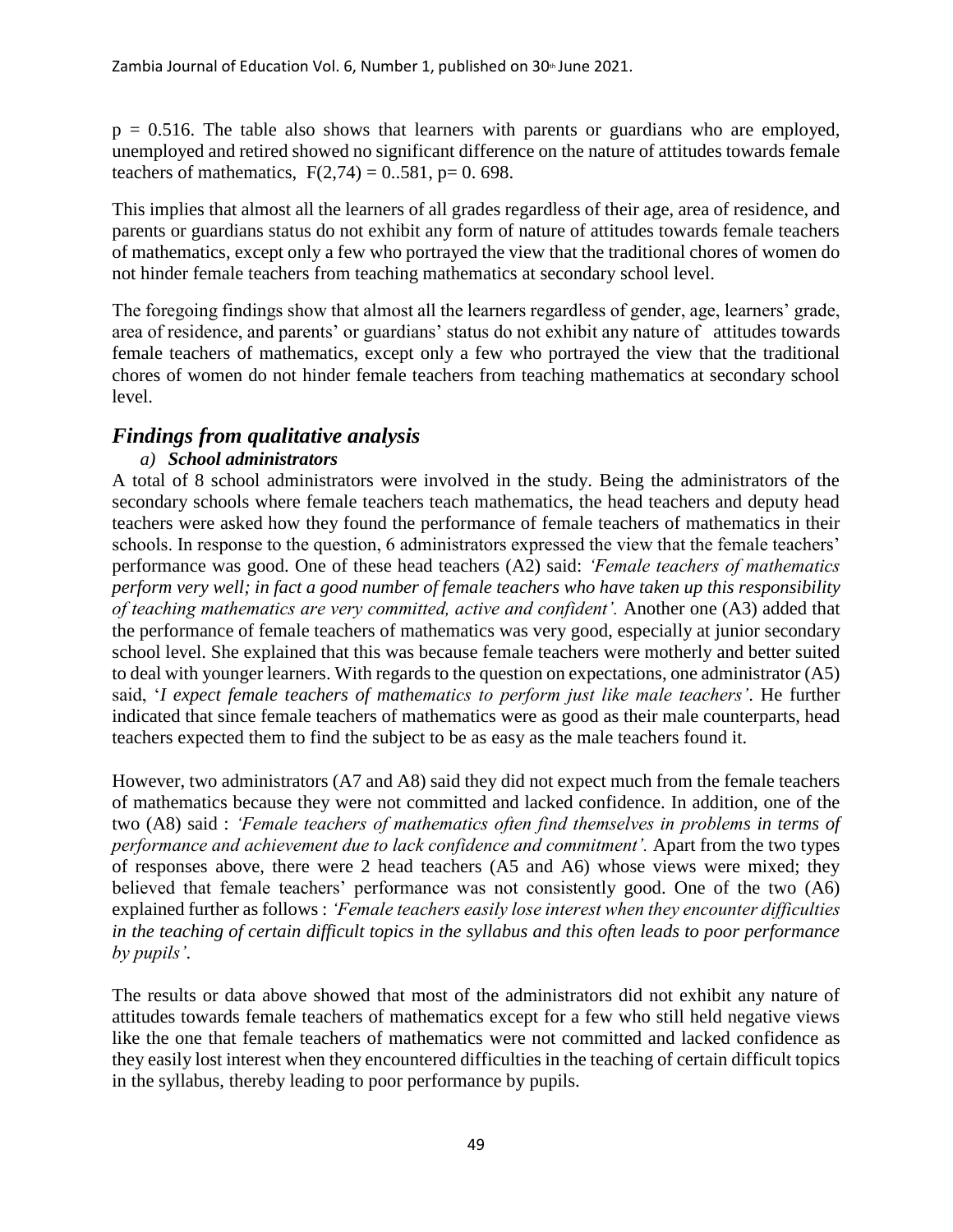$p = 0.516$ . The table also shows that learners with parents or guardians who are employed, unemployed and retired showed no significant difference on the nature of attitudes towards female teachers of mathematics,  $F(2,74) = 0.581$ , p= 0.698.

This implies that almost all the learners of all grades regardless of their age, area of residence, and parents or guardians status do not exhibit any form of nature of attitudes towards female teachers of mathematics, except only a few who portrayed the view that the traditional chores of women do not hinder female teachers from teaching mathematics at secondary school level.

The foregoing findings show that almost all the learners regardless of gender, age, learners' grade, area of residence, and parents' or guardians' status do not exhibit any nature of attitudes towards female teachers of mathematics, except only a few who portrayed the view that the traditional chores of women do not hinder female teachers from teaching mathematics at secondary school level.

# *Findings from qualitative analysis*

## *a) School administrators*

A total of 8 school administrators were involved in the study. Being the administrators of the secondary schools where female teachers teach mathematics, the head teachers and deputy head teachers were asked how they found the performance of female teachers of mathematics in their schools. In response to the question, 6 administrators expressed the view that the female teachers' performance was good. One of these head teachers (A2) said: *'Female teachers of mathematics perform very well; in fact a good number of female teachers who have taken up this responsibility of teaching mathematics are very committed, active and confident'.* Another one (A3) added that the performance of female teachers of mathematics was very good, especially at junior secondary school level. She explained that this was because female teachers were motherly and better suited to deal with younger learners. With regards to the question on expectations, one administrator (A5) said, '*I expect female teachers of mathematics to perform just like male teachers'*. He further indicated that since female teachers of mathematics were as good as their male counterparts, head teachers expected them to find the subject to be as easy as the male teachers found it.

However, two administrators (A7 and A8) said they did not expect much from the female teachers of mathematics because they were not committed and lacked confidence. In addition, one of the two (A8) said : *'Female teachers of mathematics often find themselves in problems in terms of performance and achievement due to lack confidence and commitment'.* Apart from the two types of responses above, there were 2 head teachers (A5 and A6) whose views were mixed; they believed that female teachers' performance was not consistently good. One of the two (A6) explained further as follows : *'Female teachers easily lose interest when they encounter difficulties in the teaching of certain difficult topics in the syllabus and this often leads to poor performance by pupils'*.

The results or data above showed that most of the administrators did not exhibit any nature of attitudes towards female teachers of mathematics except for a few who still held negative views like the one that female teachers of mathematics were not committed and lacked confidence as they easily lost interest when they encountered difficulties in the teaching of certain difficult topics in the syllabus, thereby leading to poor performance by pupils.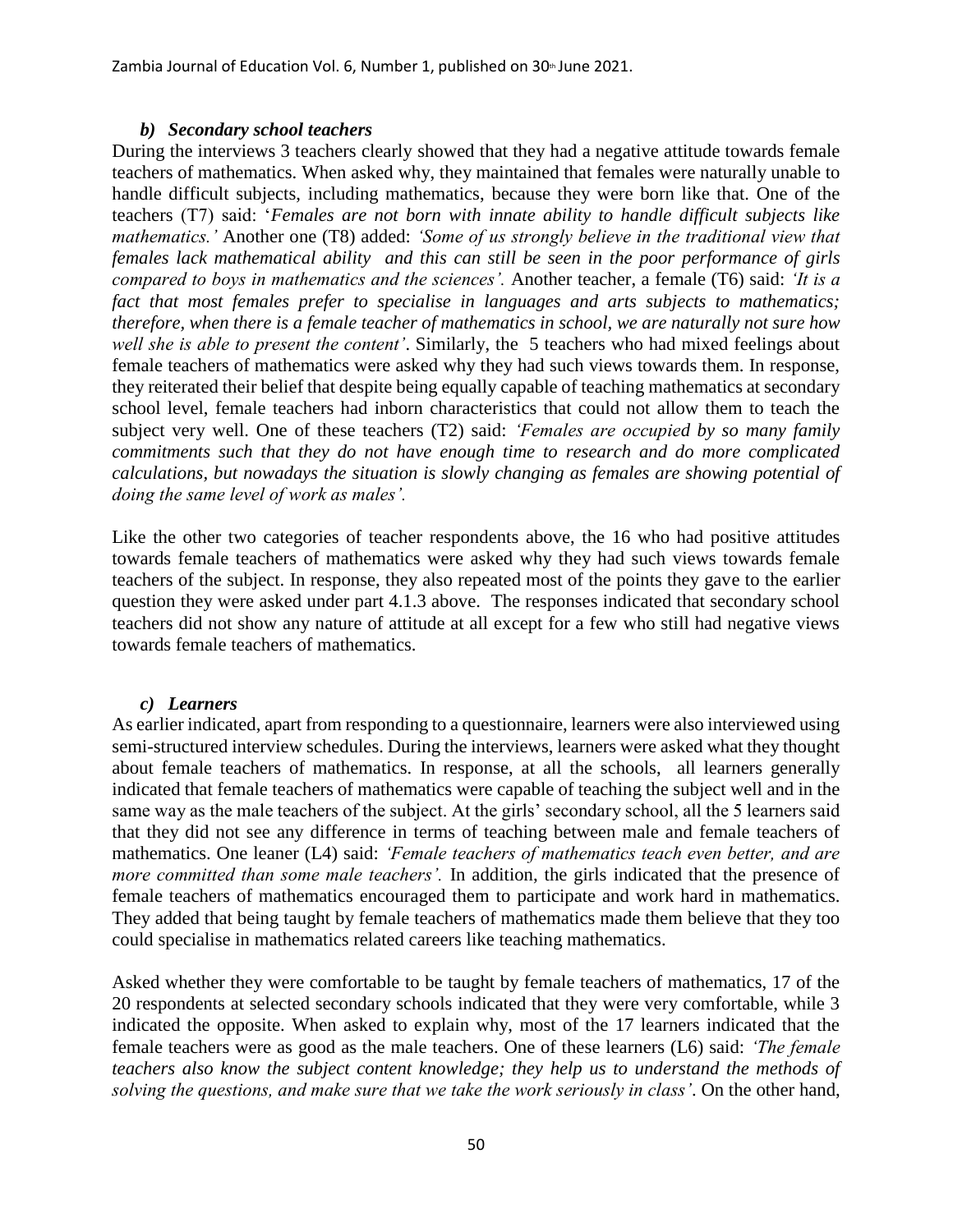Zambia Journal of Education Vol. 6, Number 1, published on  $30<sup>th</sup>$  June 2021.

#### *b) Secondary school teachers*

During the interviews 3 teachers clearly showed that they had a negative attitude towards female teachers of mathematics. When asked why, they maintained that females were naturally unable to handle difficult subjects, including mathematics, because they were born like that. One of the teachers (T7) said: '*Females are not born with innate ability to handle difficult subjects like mathematics.'* Another one (T8) added: *'Some of us strongly believe in the traditional view that females lack mathematical ability and this can still be seen in the poor performance of girls compared to boys in mathematics and the sciences'.* Another teacher, a female (T6) said: *'It is a fact that most females prefer to specialise in languages and arts subjects to mathematics; therefore, when there is a female teacher of mathematics in school, we are naturally not sure how well she is able to present the content'*. Similarly, the 5 teachers who had mixed feelings about female teachers of mathematics were asked why they had such views towards them. In response, they reiterated their belief that despite being equally capable of teaching mathematics at secondary school level, female teachers had inborn characteristics that could not allow them to teach the subject very well. One of these teachers (T2) said: *'Females are occupied by so many family commitments such that they do not have enough time to research and do more complicated calculations, but nowadays the situation is slowly changing as females are showing potential of doing the same level of work as males'.* 

Like the other two categories of teacher respondents above, the 16 who had positive attitudes towards female teachers of mathematics were asked why they had such views towards female teachers of the subject. In response, they also repeated most of the points they gave to the earlier question they were asked under part 4.1.3 above. The responses indicated that secondary school teachers did not show any nature of attitude at all except for a few who still had negative views towards female teachers of mathematics.

#### *c) Learners*

As earlier indicated, apart from responding to a questionnaire, learners were also interviewed using semi-structured interview schedules. During the interviews, learners were asked what they thought about female teachers of mathematics. In response, at all the schools, all learners generally indicated that female teachers of mathematics were capable of teaching the subject well and in the same way as the male teachers of the subject. At the girls' secondary school, all the 5 learners said that they did not see any difference in terms of teaching between male and female teachers of mathematics. One leaner (L4) said: *'Female teachers of mathematics teach even better, and are more committed than some male teachers'*. In addition, the girls indicated that the presence of female teachers of mathematics encouraged them to participate and work hard in mathematics. They added that being taught by female teachers of mathematics made them believe that they too could specialise in mathematics related careers like teaching mathematics.

Asked whether they were comfortable to be taught by female teachers of mathematics, 17 of the 20 respondents at selected secondary schools indicated that they were very comfortable, while 3 indicated the opposite. When asked to explain why, most of the 17 learners indicated that the female teachers were as good as the male teachers. One of these learners (L6) said: *'The female teachers also know the subject content knowledge; they help us to understand the methods of solving the questions, and make sure that we take the work seriously in class'*. On the other hand,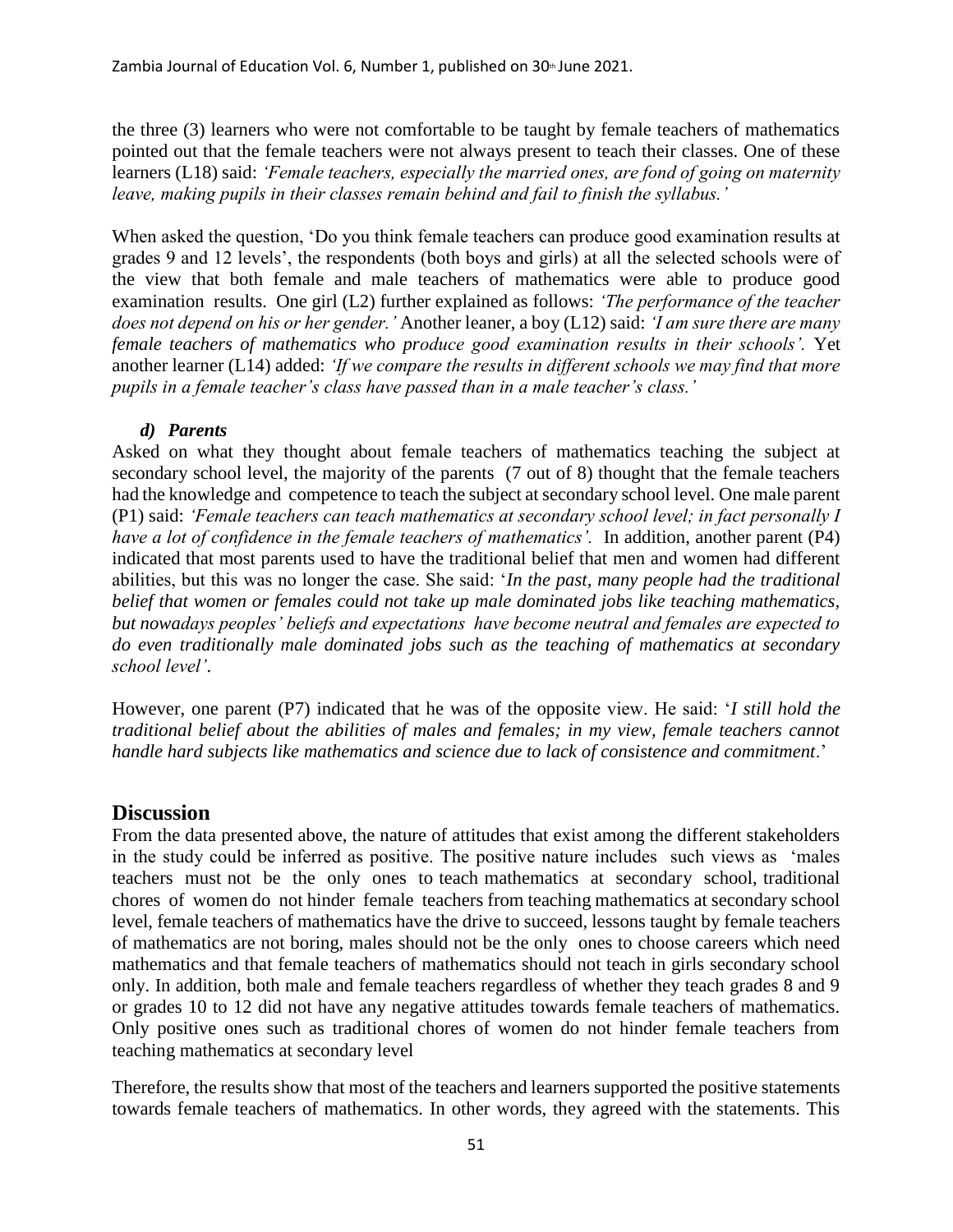the three (3) learners who were not comfortable to be taught by female teachers of mathematics pointed out that the female teachers were not always present to teach their classes. One of these learners (L18) said: *'Female teachers, especially the married ones, are fond of going on maternity leave, making pupils in their classes remain behind and fail to finish the syllabus.'* 

When asked the question, 'Do you think female teachers can produce good examination results at grades 9 and 12 levels', the respondents (both boys and girls) at all the selected schools were of the view that both female and male teachers of mathematics were able to produce good examination results. One girl (L2) further explained as follows: *'The performance of the teacher does not depend on his or her gender.'* Another leaner, a boy (L12) said: *'I am sure there are many female teachers of mathematics who produce good examination results in their schools'.* Yet another learner (L14) added: *'If we compare the results in different schools we may find that more pupils in a female teacher's class have passed than in a male teacher's class.'*

## *d) Parents*

Asked on what they thought about female teachers of mathematics teaching the subject at secondary school level, the majority of the parents (7 out of 8) thought that the female teachers had the knowledge and competence to teach the subject at secondary school level. One male parent (P1) said: *'Female teachers can teach mathematics at secondary school level; in fact personally I have a lot of confidence in the female teachers of mathematics'.* In addition, another parent (P4) indicated that most parents used to have the traditional belief that men and women had different abilities, but this was no longer the case. She said: '*In the past, many people had the traditional belief that women or females could not take up male dominated jobs like teaching mathematics, but nowadays peoples' beliefs and expectations have become neutral and females are expected to do even traditionally male dominated jobs such as the teaching of mathematics at secondary school level'*.

However, one parent (P7) indicated that he was of the opposite view. He said: '*I still hold the traditional belief about the abilities of males and females; in my view, female teachers cannot handle hard subjects like mathematics and science due to lack of consistence and commitment*.'

## **Discussion**

From the data presented above, the nature of attitudes that exist among the different stakeholders in the study could be inferred as positive. The positive nature includes such views as 'males teachers must not be the only ones to teach mathematics at secondary school, traditional chores of women do not hinder female teachers from teaching mathematics at secondary school level, female teachers of mathematics have the drive to succeed, lessons taught by female teachers of mathematics are not boring, males should not be the only ones to choose careers which need mathematics and that female teachers of mathematics should not teach in girls secondary school only. In addition, both male and female teachers regardless of whether they teach grades 8 and 9 or grades 10 to 12 did not have any negative attitudes towards female teachers of mathematics. Only positive ones such as traditional chores of women do not hinder female teachers from teaching mathematics at secondary level

Therefore, the results show that most of the teachers and learners supported the positive statements towards female teachers of mathematics. In other words, they agreed with the statements. This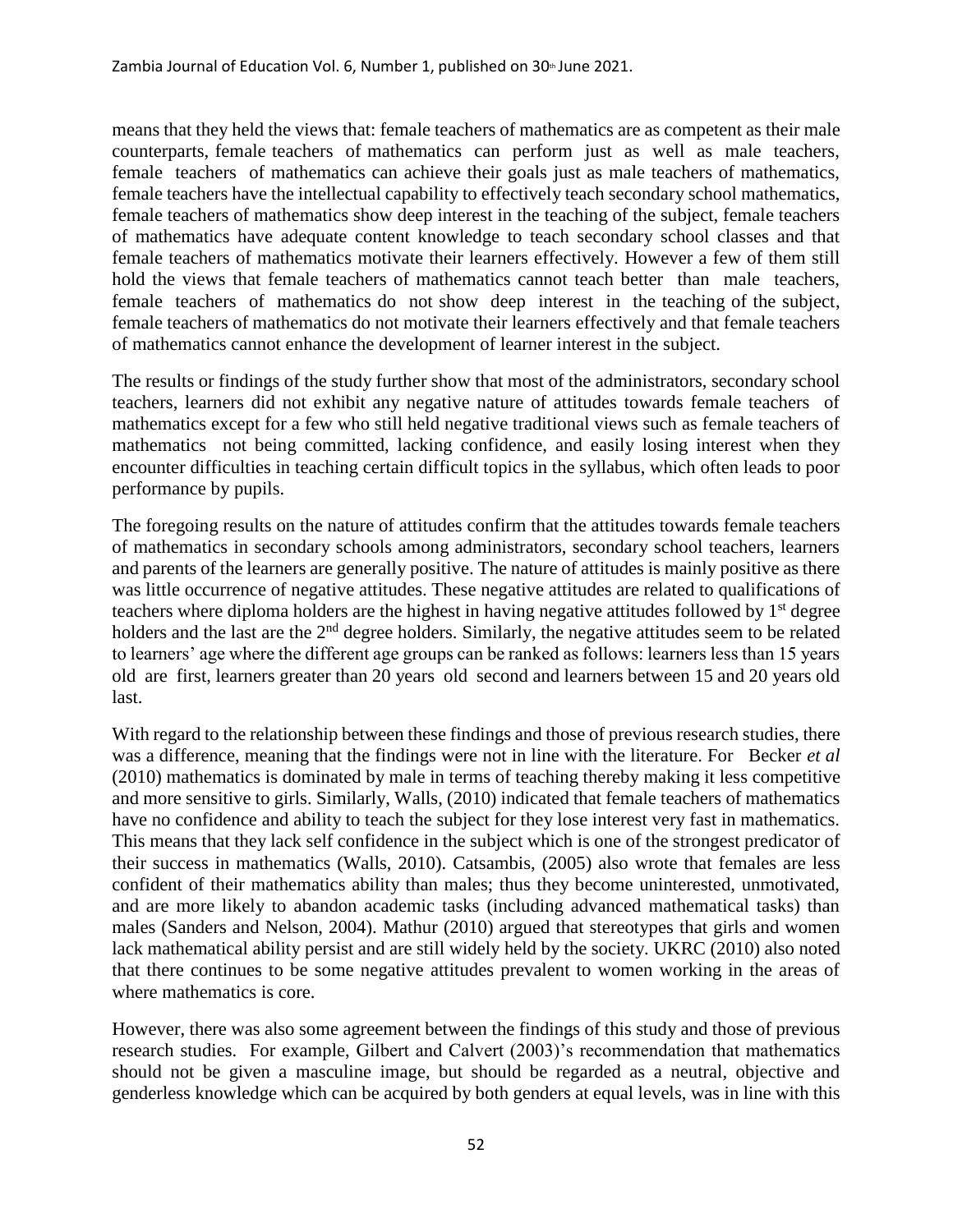means that they held the views that: female teachers of mathematics are as competent as their male counterparts, female teachers of mathematics can perform just as well as male teachers, female teachers of mathematics can achieve their goals just as male teachers of mathematics, female teachers have the intellectual capability to effectively teach secondary school mathematics, female teachers of mathematics show deep interest in the teaching of the subject, female teachers of mathematics have adequate content knowledge to teach secondary school classes and that female teachers of mathematics motivate their learners effectively. However a few of them still hold the views that female teachers of mathematics cannot teach better than male teachers, female teachers of mathematics do not show deep interest in the teaching of the subject, female teachers of mathematics do not motivate their learners effectively and that female teachers of mathematics cannot enhance the development of learner interest in the subject.

The results or findings of the study further show that most of the administrators, secondary school teachers, learners did not exhibit any negative nature of attitudes towards female teachers of mathematics except for a few who still held negative traditional views such as female teachers of mathematics not being committed, lacking confidence, and easily losing interest when they encounter difficulties in teaching certain difficult topics in the syllabus, which often leads to poor performance by pupils.

The foregoing results on the nature of attitudes confirm that the attitudes towards female teachers of mathematics in secondary schools among administrators, secondary school teachers, learners and parents of the learners are generally positive. The nature of attitudes is mainly positive as there was little occurrence of negative attitudes. These negative attitudes are related to qualifications of teachers where diploma holders are the highest in having negative attitudes followed by 1<sup>st</sup> degree holders and the last are the 2<sup>nd</sup> degree holders. Similarly, the negative attitudes seem to be related to learners' age where the different age groups can be ranked as follows: learners less than 15 years old are first, learners greater than 20 years old second and learners between 15 and 20 years old last.

With regard to the relationship between these findings and those of previous research studies, there was a difference, meaning that the findings were not in line with the literature. For Becker *et al* (2010) mathematics is dominated by male in terms of teaching thereby making it less competitive and more sensitive to girls. Similarly, Walls, (2010) indicated that female teachers of mathematics have no confidence and ability to teach the subject for they lose interest very fast in mathematics. This means that they lack self confidence in the subject which is one of the strongest predicator of their success in mathematics (Walls, 2010). Catsambis, (2005) also wrote that females are less confident of their mathematics ability than males; thus they become uninterested, unmotivated, and are more likely to abandon academic tasks (including advanced mathematical tasks) than males (Sanders and Nelson, 2004). Mathur (2010) argued that stereotypes that girls and women lack mathematical ability persist and are still widely held by the society. UKRC (2010) also noted that there continues to be some negative attitudes prevalent to women working in the areas of where mathematics is core.

However, there was also some agreement between the findings of this study and those of previous research studies. For example, Gilbert and Calvert (2003)'s recommendation that mathematics should not be given a masculine image, but should be regarded as a neutral, objective and genderless knowledge which can be acquired by both genders at equal levels, was in line with this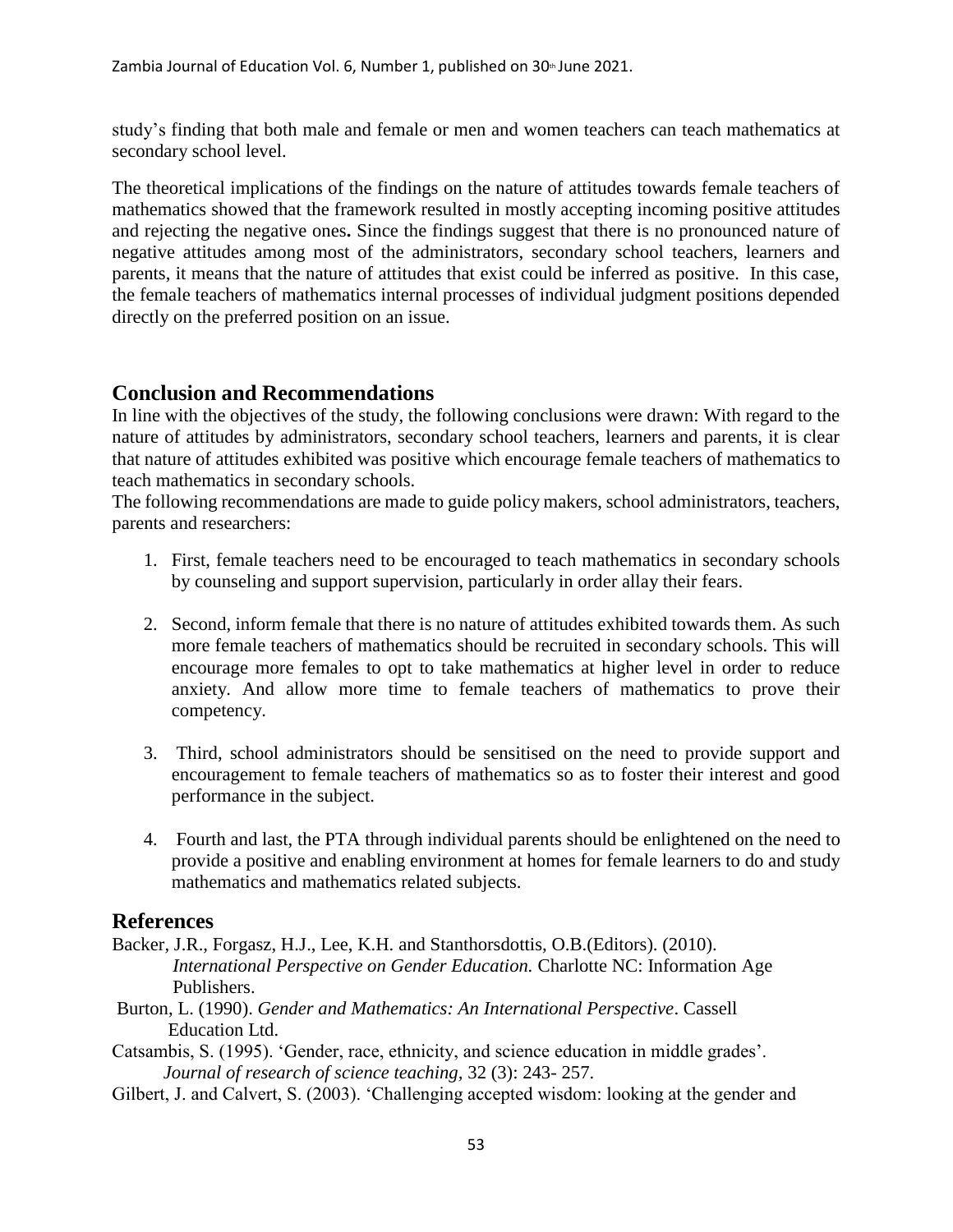study's finding that both male and female or men and women teachers can teach mathematics at secondary school level.

The theoretical implications of the findings on the nature of attitudes towards female teachers of mathematics showed that the framework resulted in mostly accepting incoming positive attitudes and rejecting the negative ones**.** Since the findings suggest that there is no pronounced nature of negative attitudes among most of the administrators, secondary school teachers, learners and parents, it means that the nature of attitudes that exist could be inferred as positive. In this case, the female teachers of mathematics internal processes of individual judgment positions depended directly on the preferred position on an issue.

## **Conclusion and Recommendations**

In line with the objectives of the study, the following conclusions were drawn: With regard to the nature of attitudes by administrators, secondary school teachers, learners and parents, it is clear that nature of attitudes exhibited was positive which encourage female teachers of mathematics to teach mathematics in secondary schools.

The following recommendations are made to guide policy makers, school administrators, teachers, parents and researchers:

- 1. First, female teachers need to be encouraged to teach mathematics in secondary schools by counseling and support supervision, particularly in order allay their fears.
- 2. Second, inform female that there is no nature of attitudes exhibited towards them. As such more female teachers of mathematics should be recruited in secondary schools. This will encourage more females to opt to take mathematics at higher level in order to reduce anxiety. And allow more time to female teachers of mathematics to prove their competency.
- 3. Third, school administrators should be sensitised on the need to provide support and encouragement to female teachers of mathematics so as to foster their interest and good performance in the subject.
- 4. Fourth and last, the PTA through individual parents should be enlightened on the need to provide a positive and enabling environment at homes for female learners to do and study mathematics and mathematics related subjects.

## **References**

- Backer, J.R., Forgasz, H.J., Lee, K.H. and Stanthorsdottis, O.B.(Editors). (2010). *International Perspective on Gender Education.* Charlotte NC: Information Age Publishers.
- Burton, L. (1990). *Gender and Mathematics: An International Perspective*. Cassell Education Ltd.
- Catsambis, S. (1995). 'Gender, race, ethnicity, and science education in middle grades'. *Journal of research of science teaching,* 32 (3): 243- 257.
- Gilbert, J. and Calvert, S. (2003). 'Challenging accepted wisdom: looking at the gender and